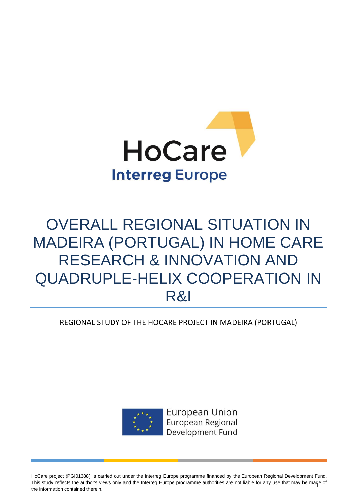

# OVERALL REGIONAL SITUATION IN MADEIRA (PORTUGAL) IN HOME CARE RESEARCH & INNOVATION AND QUADRUPLE-HELIX COOPERATION IN R&I

REGIONAL STUDY OF THE HOCARE PROJECT IN MADEIRA (PORTUGAL)



**European Union** European Regional Development Fund

This study reflects the author's views only and the Interreg Europe programme authorities are not liable for any use that may be made of<br>the information contained therein HoCare project (PGI01388) is carried out under the Interreg Europe programme financed by the European Regional Development Fund. the information contained therein.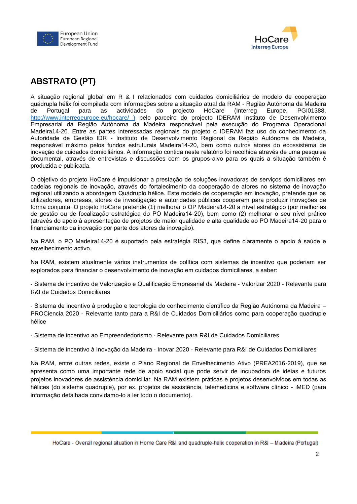



## **ABSTRATO (PT)**

A situação regional global em R & I relacionados com cuidados domiciliários de modelo de cooperação quádrupla hélix foi compilada com informações sobre a situação atual da RAM - Região Autónoma da Madeira de Portugal para as actividades do projecto HoCare (Interreg Europe, PGI01388, <http://www.interregeurope.eu/hocare/> ) pelo parceiro do projecto IDERAM Instituto de Desenvolvimento Empresarial da Região Autónoma da Madeira responsável pela execução do Programa Operacional Madeira14-20. Entre as partes interessadas regionais do projeto o IDERAM faz uso do conhecimento da Autoridade de Gestão IDR - Instituto de Desenvolvimento Regional da Região Autónoma da Madeira, responsável máximo pelos fundos estruturais Madeira14-20, bem como outros atores do ecossistema de inovação de cuidados domiciliários. A informação contida neste relatório foi recolhida através de uma pesquisa documental, através de entrevistas e discussões com os grupos-alvo para os quais a situação também é produzida e publicada.

O objetivo do projeto HoCare é impulsionar a prestação de soluções inovadoras de serviços domiciliares em cadeias regionais de inovação, através do fortalecimento da cooperação de atores no sistema de inovação regional utilizando a abordagem Quádruplo hélice. Este modelo de cooperação em inovação, pretende que os utilizadores, empresas, atores de investigação e autoridades públicas cooperem para produzir inovações de forma conjunta. O projeto HoCare pretende (1) melhorar o OP Madeira14-20 a nível estratégico (por melhorias de gestão ou de focalização estratégica do PO Madeira14-20), bem como (2) melhorar o seu nível prático (através do apoio à apresentação de projetos de maior qualidade e alta qualidade ao PO Madeira14-20 para o financiamento da inovação por parte dos atores da inovação).

Na RAM, o PO Madeira14-20 é suportado pela estratégia RIS3, que define claramente o apoio à saúde e envelhecimento activo.

Na RAM, existem atualmente vários instrumentos de política com sistemas de incentivo que poderiam ser explorados para financiar o desenvolvimento de inovação em cuidados domiciliares, a saber:

- Sistema de incentivo de Valorização e Qualificação Empresarial da Madeira - Valorizar 2020 - Relevante para R&I de Cuidados Domiciliares

- Sistema de incentivo à produção e tecnologia do conhecimento científico da Região Autónoma da Madeira – PROCiencia 2020 - Relevante tanto para a R&I de Cuidados Domiciliários como para cooperação quadruple hélice

- Sistema de incentivo ao Empreendedorismo - Relevante para R&I de Cuidados Domiciliares

- Sistema de incentivo à Inovação da Madeira - Inovar 2020 - Relevante para R&I de Cuidados Domiciliares

Na RAM, entre outras redes, existe o Plano Regional de Envelhecimento Ativo (PREA2016-2019), que se apresenta como uma importante rede de apoio social que pode servir de incubadora de ideias e futuros projetos inovadores de assistência domiciliar. Na RAM existem práticas e projetos desenvolvidos em todas as hélices (do sistema quadruple), por ex. projetos de assistência, telemedicina e software clínico - iMED (para informação detalhada convidamo-lo a ler todo o documento).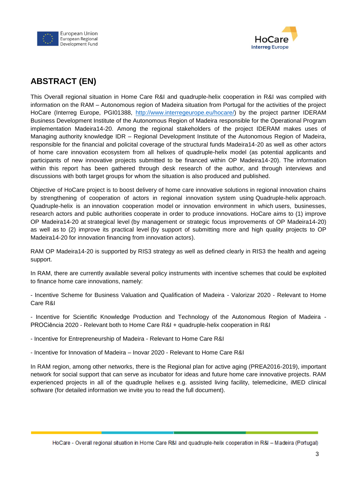



## **ABSTRACT (EN)**

This Overall regional situation in Home Care R&I and quadruple-helix cooperation in R&I was compiled with information on the RAM – Autonomous region of Madeira situation from Portugal for the activities of the project HoCare (Interreg Europe, PGI01388, [http://www.interregeurope.eu/hocare/\)](http://www.interregeurope.eu/hocare/) by the project partner IDERAM Business Development Institute of the Autonomous Region of Madeira responsible for the Operational Program implementation Madeira14-20. Among the regional stakeholders of the project IDERAM makes uses of Managing authority knowledge IDR – Regional Development Institute of the Autonomous Region of Madeira, responsible for the financial and policital coverage of the structural funds Madeira14-20 as well as other actors of home care innovation ecosystem from all helixes of quadruple-helix model (as potential applicants and participants of new innovative projects submitted to be financed within OP Madeira14-20). The information within this report has been gathered through desk research of the author, and through interviews and discussions with both target groups for whom the situation is also produced and published.

Objective of HoCare project is to boost delivery of home care innovative solutions in regional innovation chains by strengthening of cooperation of actors in regional innovation system using Quadruple-helix approach. Quadruple-helix is an innovation cooperation model or innovation environment in which users, businesses, research actors and public authorities cooperate in order to produce innovations. HoCare aims to (1) improve OP Madeira14-20 at strategical level (by management or strategic focus improvements of OP Madeira14-20) as well as to (2) improve its practical level (by support of submitting more and high quality projects to OP Madeira14-20 for innovation financing from innovation actors).

RAM OP Madeira14-20 is supported by RIS3 strategy as well as defined clearly in RIS3 the health and ageing support.

In RAM, there are currently available several policy instruments with incentive schemes that could be exploited to finance home care innovations, namely:

- Incentive Scheme for Business Valuation and Qualification of Madeira - [Valorizar 2020](http://www.ideram.pt/Content/PaginasPublicas/Servicos-IDE-apoios-2014-2020-Sistemas-Incentivos-Investimento-VALORIZAR2020_APOIO.aspx) - Relevant to Home Care R&I

- Incentive for Scientific Knowledge Production and Technology of the Autonomous Region of Madeira - [PROCiência](http://www.ideram.pt/Content/PaginasPublicas/Servicos-IDE-apoios-2014-2020-Sistemas-Incentivos-Investimento-PROCIENCIA2020.aspx) 2020 - Relevant both to Home Care R&I + quadruple-helix cooperation in R&I

- Incentive for Entrepreneurship of Madeira - Relevant to Home Care R&I

- Incentive for Innovation of Madeira – Inovar 2020 - Relevant to Home Care R&I

In RAM region, among other networks, there is the Regional plan for active aging (PREA2016-2019), important network for social support that can serve as incubator for ideas and future home care innovative projects. RAM experienced projects in all of the quadruple helixes e.g. assisted living facility, telemedicine, iMED clinical software (for detailed information we invite you to read the full document).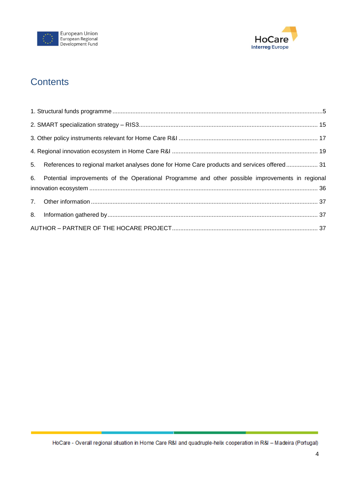



## **Contents**

| 5. References to regional market analyses done for Home Care products and services offered 31      |  |
|----------------------------------------------------------------------------------------------------|--|
| 6. Potential improvements of the Operational Programme and other possible improvements in regional |  |
|                                                                                                    |  |
|                                                                                                    |  |
|                                                                                                    |  |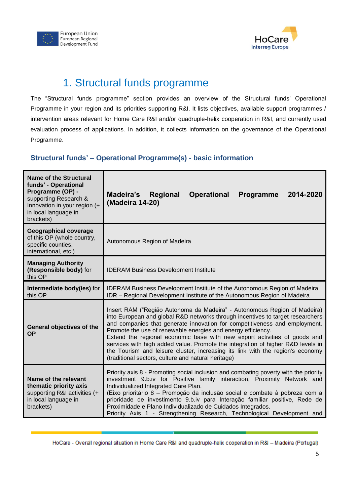



## 1. Structural funds programme

<span id="page-4-0"></span>The "Structural funds programme" section provides an overview of the Structural funds' Operational Programme in your region and its priorities supporting R&I. It lists objectives, available support programmes / intervention areas relevant for Home Care R&I and/or quadruple-helix cooperation in R&I, and currently used evaluation process of applications. In addition, it collects information on the governance of the Operational Programme.

#### **Structural funds' – Operational Programme(s) - basic information**

| Name of the Structural<br>funds' - Operational<br>Programme (OP) -<br>supporting Research &<br>Innovation in your region (+<br>in local language in<br>brackets) | <b>Madeira's Regional</b><br><b>Operational</b><br>2014-2020<br><b>Programme</b><br>(Madeira 14-20)                                                                                                                                                                                                                                                                                                                                                                                                                                                                                                               |
|------------------------------------------------------------------------------------------------------------------------------------------------------------------|-------------------------------------------------------------------------------------------------------------------------------------------------------------------------------------------------------------------------------------------------------------------------------------------------------------------------------------------------------------------------------------------------------------------------------------------------------------------------------------------------------------------------------------------------------------------------------------------------------------------|
| <b>Geographical coverage</b><br>of this OP (whole country,<br>specific counties,<br>international, etc.)                                                         | Autonomous Region of Madeira                                                                                                                                                                                                                                                                                                                                                                                                                                                                                                                                                                                      |
| <b>Managing Authority</b><br>(Responsible body) for<br>this OP                                                                                                   | <b>IDERAM Business Development Institute</b>                                                                                                                                                                                                                                                                                                                                                                                                                                                                                                                                                                      |
| Intermediate body(ies) for<br>this OP                                                                                                                            | <b>IDERAM Business Development Institute of the Autonomous Region of Madeira</b><br>IDR - Regional Development Institute of the Autonomous Region of Madeira                                                                                                                                                                                                                                                                                                                                                                                                                                                      |
| General objectives of the<br><b>OP</b>                                                                                                                           | Insert RAM ("Região Autonoma da Madeira" - Autonomous Region of Madeira)<br>into European and global R&D networks through incentives to target researchers<br>and companies that generate innovation for competitiveness and employment.<br>Promote the use of renewable energies and energy efficiency.<br>Extend the regional economic base with new export activities of goods and<br>services with high added value. Promote the integration of higher R&D levels in<br>the Tourism and leisure cluster, increasing its link with the region's economy<br>(traditional sectors, culture and natural heritage) |
| Name of the relevant<br>thematic priority axis<br>supporting R&I activities (+<br>in local language in<br>brackets)                                              | Priority axis 8 - Promoting social inclusion and combating poverty with the priority<br>investment 9.b.iv for Positive family interaction, Proximity Network and<br>Individualized Integrated Care Plan.<br>(Eixo prioritário 8 – Promoção da inclusão social e combate à pobreza com a<br>prioridade de investimento 9.b.iv para Interação familiar positive, Rede de<br>Proximidade e Plano Individualizado de Cuidados Integrados.<br>Priority Axis 1 - Strengthening Research, Technological Development and                                                                                                  |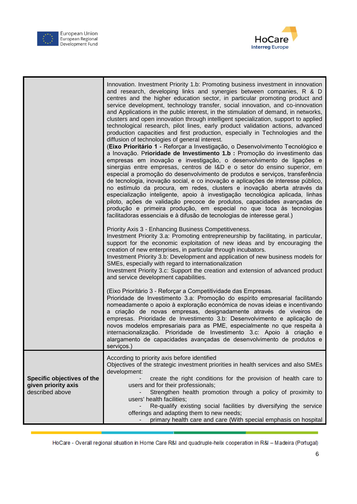



|                                                                      | Innovation. Investment Priority 1.b: Promoting business investment in innovation<br>and research, developing links and synergies between companies, R & D<br>centres and the higher education sector, in particular promoting product and<br>service development, technology transfer, social innovation, and co-innovation<br>and Applications in the public interest, in the stimulation of demand, in networks,<br>clusters and open innovation through intelligent specialization, support to applied<br>technological research, pilot lines, early product validation actions, advanced<br>production capacities and first production, especially in Technologies and the<br>diffusion of technologies of general interest.<br>(Eixo Prioritário 1 - Reforçar a Investigação, o Desenvolvimento Tecnológico e<br>a Inovação. Prioridade de Investimento 1.b : Promoção do investimento das<br>empresas em inovação e investigação, o desenvolvimento de ligações e<br>sinergias entre empresas, centros de I&D e o setor do ensino superior, em<br>especial a promoção do desenvolvimento de produtos e serviços, transferência<br>de tecnologia, inovação social, e co inovação e aplicações de interesse público,<br>no estímulo da procura, em redes, clusters e inovação aberta através da<br>especialização inteligente, apoio à investigação tecnológica aplicada, linhas<br>piloto, ações de validação precoce de produtos, capacidades avançadas de<br>produção e primeira produção, em especial no que toca às tecnologias<br>facilitadoras essenciais e à difusão de tecnologias de interesse geral.) |
|----------------------------------------------------------------------|----------------------------------------------------------------------------------------------------------------------------------------------------------------------------------------------------------------------------------------------------------------------------------------------------------------------------------------------------------------------------------------------------------------------------------------------------------------------------------------------------------------------------------------------------------------------------------------------------------------------------------------------------------------------------------------------------------------------------------------------------------------------------------------------------------------------------------------------------------------------------------------------------------------------------------------------------------------------------------------------------------------------------------------------------------------------------------------------------------------------------------------------------------------------------------------------------------------------------------------------------------------------------------------------------------------------------------------------------------------------------------------------------------------------------------------------------------------------------------------------------------------------------------------------------------------------------------------------------------------------|
|                                                                      | Priority Axis 3 - Enhancing Business Competitiveness.<br>Investment Priority 3.a: Promoting entrepreneurship by facilitating, in particular,<br>support for the economic exploitation of new ideas and by encouraging the<br>creation of new enterprises, in particular through incubators.<br>Investment Priority 3.b: Development and application of new business models for<br>SMEs, especially with regard to internationalization<br>Investment Priority 3.c: Support the creation and extension of advanced product<br>and service development capabilities.                                                                                                                                                                                                                                                                                                                                                                                                                                                                                                                                                                                                                                                                                                                                                                                                                                                                                                                                                                                                                                                   |
|                                                                      | (Eixo Prioritário 3 - Reforçar a Competitividade das Empresas.<br>Prioridade de Investimento 3.a: Promoção do espírito empresarial facilitando<br>nomeadamente o apoio à exploração económica de novas ideias e incentivando<br>a criação de novas empresas, designadamente através de viveiros de<br>empresas. Prioridade de Investimento 3.b: Desenvolvimento e aplicação de<br>novos modelos empresariais para as PME, especialmente no que respeita à<br>internacionalização. Prioridade de Investimento 3.c: Apoio à criação e<br>alargamento de capacidades avançadas de desenvolvimento de produtos e<br>serviços.)                                                                                                                                                                                                                                                                                                                                                                                                                                                                                                                                                                                                                                                                                                                                                                                                                                                                                                                                                                                           |
| Specific objectives of the<br>given priority axis<br>described above | According to priority axis before identified<br>Objectives of the strategic investment priorities in health services and also SMEs<br>development:<br>create the right conditions for the provision of health care to<br>users and for their professionals;<br>Strengthen health promotion through a policy of proximity to<br>users' health facilities;<br>Re-qualify existing social facilities by diversifying the service<br>offerings and adapting them to new needs;<br>primary health care and care (With special emphasis on hospital                                                                                                                                                                                                                                                                                                                                                                                                                                                                                                                                                                                                                                                                                                                                                                                                                                                                                                                                                                                                                                                                        |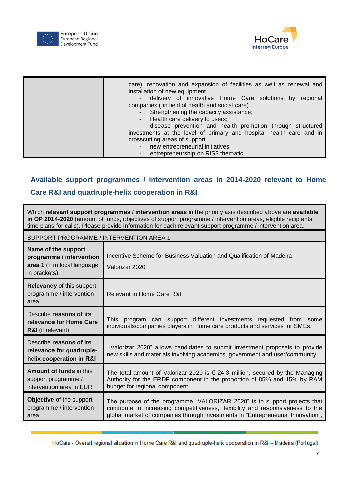



| care), renovation and expansion of facilities as well as renewal and<br>installation of new equipment                               |
|-------------------------------------------------------------------------------------------------------------------------------------|
| - delivery of innovative Home Care solutions by regional<br>companies (in field of health and social care)                          |
| - Strengthening the capacity assistance;<br>- Health care delivery to users;                                                        |
| - disease prevention and health promotion through structured<br>investments at the level of primary and hospital health care and in |
| crosscutting areas of support                                                                                                       |
| new entrepreneurial initiatives<br>entrepreneurship on RIS3 thematic                                                                |

#### **Available support programmes / intervention areas in 2014-2020 relevant to Home**

#### **Care R&I and quadruple-helix cooperation in R&I**

Which **relevant support programmes / intervention areas** in the priority axis described above are **available in OP 2014-2020** (amount of funds, objectives of support programme / intervention areas, eligible recipients, time plans for calls). Please provide information for each relevant support programme / intervention area.

| SUPPORT PROGRAMME / INTERVENTION AREA 1                                                          |                                                                                                                                                                                                                                                 |  |
|--------------------------------------------------------------------------------------------------|-------------------------------------------------------------------------------------------------------------------------------------------------------------------------------------------------------------------------------------------------|--|
| Name of the support<br>programme / intervention<br>area $1$ (+ in local language<br>in brackets) | Incentive Scheme for Business Valuation and Qualification of Madeira<br>Valorizar 2020                                                                                                                                                          |  |
| <b>Relevancy of this support</b><br>programme / intervention<br>area                             | Relevant to Home Care R&I                                                                                                                                                                                                                       |  |
| Describe reasons of its<br>relevance for Home Care<br><b>R&amp;I</b> (if relevant)               | program can support different investments requested from some<br>This<br>individuals/companies players in Home care products and services for SMEs.                                                                                             |  |
| Describe reasons of its<br>relevance for quadruple-<br>helix cooperation in R&I                  | "Valorizar 2020" allows candidates to submit investment proposals to provide<br>new skills and materials involving academics, government and user/community                                                                                     |  |
| <b>Amount of funds in this</b><br>support programme /<br>intervention area in EUR                | The total amount of Valorizar 2020 is $\epsilon$ 24.3 million, secured by the Managing<br>Authority for the ERDF component in the proportion of 85% and 15% by RAM<br>budget for regional component.                                            |  |
| Objective of the support<br>programme / intervention<br>area                                     | The purpose of the programme "VALORIZAR 2020" is to support projects that<br>contribute to increasing competitiveness, flexibility and responsiveness to the<br>global market of companies through investments in "Entrepreneurial Innovation", |  |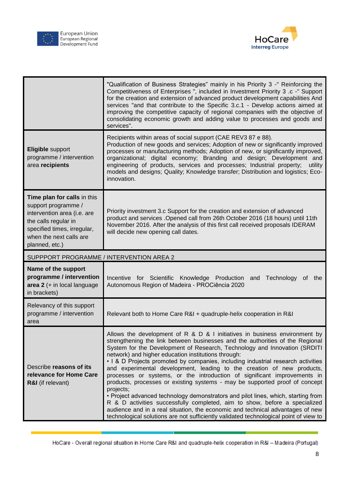



|                                                                                                                                                                                       | "Qualification of Business Strategies" mainly in his Priority 3 -" Reinforcing the<br>Competitiveness of Enterprises ", included in Investment Priority 3 .c -" Support<br>for the creation and extension of advanced product development capabilities And<br>services "and that contribute to the Specific 3.c.1 - Develop actions aimed at<br>improving the competitive capacity of regional companies with the objective of<br>consolidating economic growth and adding value to processes and goods and<br>services". |
|---------------------------------------------------------------------------------------------------------------------------------------------------------------------------------------|---------------------------------------------------------------------------------------------------------------------------------------------------------------------------------------------------------------------------------------------------------------------------------------------------------------------------------------------------------------------------------------------------------------------------------------------------------------------------------------------------------------------------|
| <b>Eligible support</b><br>programme / intervention<br>area recipients                                                                                                                | Recipients within areas of social support (CAE REV3 87 e 88).<br>Production of new goods and services; Adoption of new or significantly improved<br>processes or manufacturing methods; Adoption of new, or significantly improved,<br>organizational; digital economy; Branding and design; Development and<br>engineering of products, services and processes; Industrial property;<br>utility<br>models and designs; Quality; Knowledge transfer; Distribution and logistics; Eco-<br>innovation.                      |
| Time plan for calls in this<br>support programme /<br>intervention area (i.e. are<br>the calls regular in<br>specified times, irregular,<br>when the next calls are<br>planned, etc.) | Priority investment 3.c Support for the creation and extension of advanced<br>product and services . Opened call from 26th October 2016 (18 hours) until 11th<br>November 2016. After the analysis of this first call received proposals IDERAM<br>will decide new opening call dates.                                                                                                                                                                                                                                    |
| SUPPPORT PROGRAMME / INTERVENTION AREA 2                                                                                                                                              |                                                                                                                                                                                                                                                                                                                                                                                                                                                                                                                           |
| Name of the support                                                                                                                                                                   |                                                                                                                                                                                                                                                                                                                                                                                                                                                                                                                           |
| programme / intervention<br>area 2 (+ in local language<br>in brackets)                                                                                                               | Incentive for Scientific Knowledge Production and Technology of the<br>Autonomous Region of Madeira - PROCiência 2020                                                                                                                                                                                                                                                                                                                                                                                                     |
| Relevancy of this support<br>programme / intervention<br>area                                                                                                                         | Relevant both to Home Care R&I + quadruple-helix cooperation in R&I                                                                                                                                                                                                                                                                                                                                                                                                                                                       |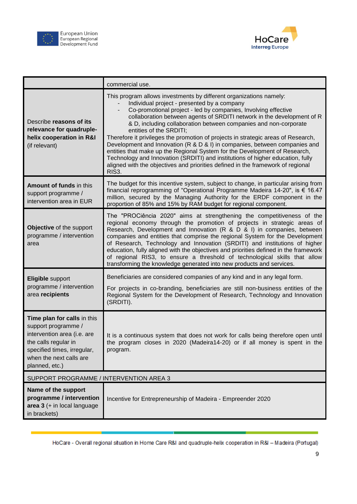



|                                                                                                                                                                                       | commercial use.                                                                                                                                                                                                                                                                                                                                                                                                                                                                                                                                                                                                                                                                                                                                                                                                                      |  |
|---------------------------------------------------------------------------------------------------------------------------------------------------------------------------------------|--------------------------------------------------------------------------------------------------------------------------------------------------------------------------------------------------------------------------------------------------------------------------------------------------------------------------------------------------------------------------------------------------------------------------------------------------------------------------------------------------------------------------------------------------------------------------------------------------------------------------------------------------------------------------------------------------------------------------------------------------------------------------------------------------------------------------------------|--|
| Describe reasons of its<br>relevance for quadruple-<br>helix cooperation in R&I<br>(if relevant)                                                                                      | This program allows investments by different organizations namely:<br>Individual project - presented by a company<br>Co-promotional project - led by companies, Involving effective<br>$\overline{\phantom{0}}$<br>collaboration between agents of SRDITI network in the development of R<br>& D, including collaboration between companies and non-corporate<br>entities of the SRDITI;<br>Therefore it privileges the promotion of projects in strategic areas of Research,<br>Development and Innovation (R & D & I) in companies, between companies and<br>entities that make up the Regional System for the Development of Research,<br>Technology and Innovation (SRDITI) and institutions of higher education, fully<br>aligned with the objectives and priorities defined in the framework of regional<br>RIS <sub>3</sub> . |  |
| <b>Amount of funds in this</b><br>support programme /<br>intervention area in EUR                                                                                                     | The budget for this incentive system, subject to change, in particular arising from<br>financial reprogramming of "Operational Programme Madeira 14-20", is € 16.47<br>million, secured by the Managing Authority for the ERDF component in the<br>proportion of 85% and 15% by RAM budget for regional component.                                                                                                                                                                                                                                                                                                                                                                                                                                                                                                                   |  |
| Objective of the support<br>programme / intervention<br>area                                                                                                                          | The "PROCiência 2020" aims at strengthening the competitiveness of the<br>regional economy through the promotion of projects in strategic areas of<br>Research, Development and Innovation (R & D & I) in companies, between<br>companies and entities that comprise the regional System for the Development<br>of Research, Technology and Innovation (SRDITI) and institutions of higher<br>education, fully aligned with the objectives and priorities defined in the framework<br>of regional RIS3, to ensure a threshold of technological skills that allow<br>transforming the knowledge generated into new products and services.                                                                                                                                                                                             |  |
| Eligible support<br>programme / intervention<br>area recipients                                                                                                                       | Beneficiaries are considered companies of any kind and in any legal form.<br>For projects in co-branding, beneficiaries are still non-business entities of the<br>Regional System for the Development of Research, Technology and Innovation<br>(SRDITI).                                                                                                                                                                                                                                                                                                                                                                                                                                                                                                                                                                            |  |
| Time plan for calls in this<br>support programme /<br>intervention area (i.e. are<br>the calls regular in<br>specified times, irregular,<br>when the next calls are<br>planned, etc.) | It is a continuous system that does not work for calls being therefore open until<br>the program closes in 2020 (Madeira14-20) or if all money is spent in the<br>program.                                                                                                                                                                                                                                                                                                                                                                                                                                                                                                                                                                                                                                                           |  |
|                                                                                                                                                                                       | SUPPORT PROGRAMME / INTERVENTION AREA 3                                                                                                                                                                                                                                                                                                                                                                                                                                                                                                                                                                                                                                                                                                                                                                                              |  |
| Name of the support<br>programme / intervention<br>area 3 (+ in local language<br>in brackets)                                                                                        | Incentive for Entrepreneurship of Madeira - Empreender 2020                                                                                                                                                                                                                                                                                                                                                                                                                                                                                                                                                                                                                                                                                                                                                                          |  |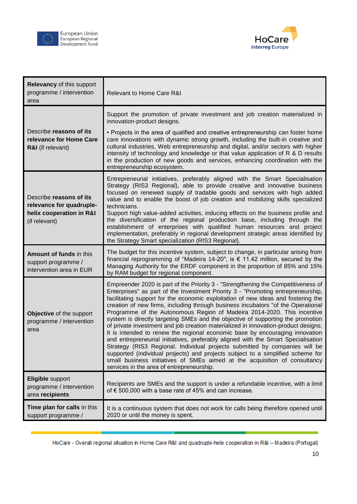



| <b>Relevancy of this support</b><br>programme / intervention<br>area                             | Relevant to Home Care R&I                                                                                                                                                                                                                                                                                                                                                                                                                                                                                                                                                                                                                                                                                                                                                                                                                                                                                                                                                                                                                                            |
|--------------------------------------------------------------------------------------------------|----------------------------------------------------------------------------------------------------------------------------------------------------------------------------------------------------------------------------------------------------------------------------------------------------------------------------------------------------------------------------------------------------------------------------------------------------------------------------------------------------------------------------------------------------------------------------------------------------------------------------------------------------------------------------------------------------------------------------------------------------------------------------------------------------------------------------------------------------------------------------------------------------------------------------------------------------------------------------------------------------------------------------------------------------------------------|
| Describe reasons of its<br>relevance for Home Care<br>R&I (if relevant)                          | Support the promotion of private investment and job creation materialized in<br>innovation-product designs.<br>• Projects in the area of qualified and creative entrepreneurship can foster home<br>care innovations with dynamic strong growth, including the built-in creative and<br>cultural industries, Web entrepreneurship and digital, and/or sectors with higher<br>intensity of technology and knowledge or that value application of R & D results<br>in the production of new goods and services, enhancing coordination with the<br>entrepreneurship ecosystem.                                                                                                                                                                                                                                                                                                                                                                                                                                                                                         |
| Describe reasons of its<br>relevance for quadruple-<br>helix cooperation in R&I<br>(if relevant) | Entrepreneurial initiatives, preferably aligned with the Smart Specialisation<br>Strategy (RIS3 Regional), able to provide creative and innovative business<br>focused on renewed supply of tradable goods and services with high added<br>value and to enable the boost of job creation and mobilizing skills specialized<br>technicians.<br>Support high value-added activities, inducing effects on the business profile and<br>the diversification of the regional production base, including through the<br>establishment of enterprises with qualified human resources and project<br>implementation, preferably in regional development strategic areas identified by<br>the Strategy Smart specialization (RIS3 Regional).                                                                                                                                                                                                                                                                                                                                   |
| Amount of funds in this<br>support programme /<br>intervention area in EUR                       | The budget for this incentive system, subject to change, in particular arising from<br>financial reprogramming of "Madeira 14-20", is € 11.42 million, secured by the<br>Managing Authority for the ERDF component in the proportion of 85% and 15%<br>by RAM budget for regional component.                                                                                                                                                                                                                                                                                                                                                                                                                                                                                                                                                                                                                                                                                                                                                                         |
| Objective of the support<br>programme / intervention<br>area                                     | Empreender 2020 is part of the Priority 3 - "Strengthening the Competitiveness of<br>Enterprises" as part of the Investment Priority 3 - "Promoting entrepreneurship,<br>facilitating support for the economic exploitation of new ideas and fostering the<br>creation of new firms, including through business incubators "of the Operational<br>Programme of the Autonomous Region of Madeira 2014-2020. This incentive<br>system is directly targeting SMEs and the objective of supporting the promotion<br>of private investment and job creation materialized in innovation-product designs.<br>It is intended to renew the regional economic base by encouraging innovation<br>and entrepreneurial initiatives, preferably aligned with the Smart Specialisation<br>Strategy (RIS3 Regional. Individual projects submitted by companies will be<br>supported (individual projects) and projects subject to a simplified scheme for<br>small business initiatives of SMEs aimed at the acquisition of consultancy<br>services in the area of entrepreneurship. |
| <b>Eligible support</b><br>programme / intervention<br>area recipients                           | Recipients are SMEs and the support is under a refundable incentive, with a limit<br>of € 500,000 with a base rate of 45% and can increase.                                                                                                                                                                                                                                                                                                                                                                                                                                                                                                                                                                                                                                                                                                                                                                                                                                                                                                                          |
| Time plan for calls in this<br>support programme /                                               | It is a continuous system that does not work for calls being therefore opened until<br>2020 or until the money is spent.                                                                                                                                                                                                                                                                                                                                                                                                                                                                                                                                                                                                                                                                                                                                                                                                                                                                                                                                             |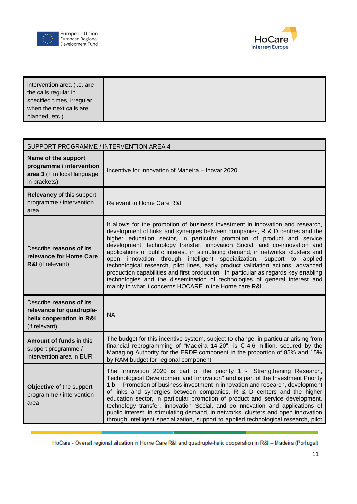





| intervention area (i.e. are |  |
|-----------------------------|--|
| the calls regular in        |  |
| specified times, irregular, |  |
| when the next calls are     |  |
| planned, etc.)              |  |

| SUPPORT PROGRAMME / INTERVENTION AREA 4                                                          |                                                                                                                                                                                                                                                                                                                                                                                                                                                                                                                                                                                                                                                                                                                                                                                                          |  |
|--------------------------------------------------------------------------------------------------|----------------------------------------------------------------------------------------------------------------------------------------------------------------------------------------------------------------------------------------------------------------------------------------------------------------------------------------------------------------------------------------------------------------------------------------------------------------------------------------------------------------------------------------------------------------------------------------------------------------------------------------------------------------------------------------------------------------------------------------------------------------------------------------------------------|--|
| Name of the support<br>programme / intervention<br>area 3 (+ in local language<br>in brackets)   | Incentive for Innovation of Madeira – Inovar 2020                                                                                                                                                                                                                                                                                                                                                                                                                                                                                                                                                                                                                                                                                                                                                        |  |
| Relevancy of this support<br>programme / intervention<br>area                                    | Relevant to Home Care R&I                                                                                                                                                                                                                                                                                                                                                                                                                                                                                                                                                                                                                                                                                                                                                                                |  |
| Describe reasons of its<br>relevance for Home Care<br>R&I (if relevant)                          | It allows for the promotion of business investment in innovation and research,<br>development of links and synergies between companies, R & D centres and the<br>higher education sector, in particular promotion of product and service<br>development, technology transfer, innovation Social, and co-innovation and<br>applications of public interest, in stimulating demand, in networks, clusters and<br>open innovation through intelligent specialization, support to applied<br>technological research, pilot lines, early product validation actions, advanced<br>production capabilities and first production, In particular as regards key enabling<br>technologies and the dissemination of technologies of general interest and<br>mainly in what it concerns HOCARE in the Home care R&I. |  |
| Describe reasons of its<br>relevance for quadruple-<br>helix cooperation in R&I<br>(if relevant) | <b>NA</b>                                                                                                                                                                                                                                                                                                                                                                                                                                                                                                                                                                                                                                                                                                                                                                                                |  |
| <b>Amount of funds in this</b><br>support programme /<br>intervention area in EUR                | The budget for this incentive system, subject to change, in particular arising from<br>financial reprogramming of "Madeira 14-20", is $\epsilon$ 4.6 million, secured by the<br>Managing Authority for the ERDF component in the proportion of 85% and 15%<br>by RAM budget for regional component.                                                                                                                                                                                                                                                                                                                                                                                                                                                                                                      |  |
| Objective of the support<br>programme / intervention<br>area                                     | The Innovation 2020 is part of the priority 1 - "Strengthening Research,<br>Technological Development and Innovation" and is part of the Investment Priority<br>1.b - "Promotion of business investment in innovation and research, development<br>of links and synergies between companies, R & D centers and the higher<br>education sector, in particular promotion of product and service development,<br>technology transfer, innovation Social, and co-innovation and applications of<br>public interest, in stimulating demand, in networks, clusters and open innovation<br>through intelligent specialization, support to applied technological research, pilot                                                                                                                                 |  |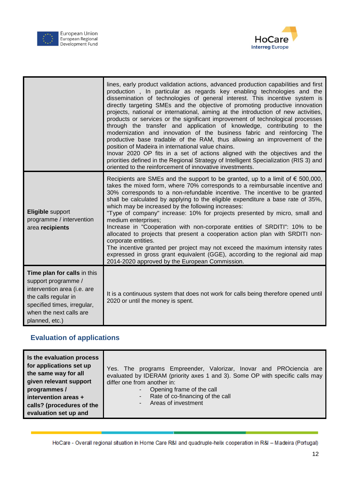



|                                                                                                                                                                                       | lines, early product validation actions, advanced production capabilities and first<br>production, In particular as regards key enabling technologies and the<br>dissemination of technologies of general interest. This incentive system is<br>directly targeting SMEs and the objective of promoting productive innovation<br>projects, national or international, aiming at the introduction of new activities,<br>products or services or the significant improvement of technological processes<br>through the transfer and application of knowledge, contributing to the<br>modernization and innovation of the business fabric and reinforcing The<br>productive base tradable of the RAM, thus allowing an improvement of the<br>position of Madeira in international value chains.<br>Inovar 2020 OP fits in a set of actions aligned with the objectives and the<br>priorities defined in the Regional Strategy of Intelligent Specialization (RIS 3) and<br>oriented to the reinforcement of innovative investments. |
|---------------------------------------------------------------------------------------------------------------------------------------------------------------------------------------|---------------------------------------------------------------------------------------------------------------------------------------------------------------------------------------------------------------------------------------------------------------------------------------------------------------------------------------------------------------------------------------------------------------------------------------------------------------------------------------------------------------------------------------------------------------------------------------------------------------------------------------------------------------------------------------------------------------------------------------------------------------------------------------------------------------------------------------------------------------------------------------------------------------------------------------------------------------------------------------------------------------------------------|
| Eligible support<br>programme / intervention<br>area recipients                                                                                                                       | Recipients are SMEs and the support to be granted, up to a limit of $\epsilon$ 500,000,<br>takes the mixed form, where 70% corresponds to a reimbursable incentive and<br>30% corresponds to a non-refundable incentive. The incentive to be granted<br>shall be calculated by applying to the eligible expenditure a base rate of 35%,<br>which may be increased by the following increases:<br>"Type of company" increase: 10% for projects presented by micro, small and<br>medium enterprises;<br>Increase in "Cooperation with non-corporate entities of SRDITI": 10% to be<br>allocated to projects that present a cooperation action plan with SRDITI non-<br>corporate entities.<br>The incentive granted per project may not exceed the maximum intensity rates<br>expressed in gross grant equivalent (GGE), according to the regional aid map<br>2014-2020 approved by the European Commission.                                                                                                                      |
| Time plan for calls in this<br>support programme /<br>intervention area (i.e. are<br>the calls regular in<br>specified times, irregular,<br>when the next calls are<br>planned, etc.) | It is a continuous system that does not work for calls being therefore opened until<br>2020 or until the money is spent.                                                                                                                                                                                                                                                                                                                                                                                                                                                                                                                                                                                                                                                                                                                                                                                                                                                                                                        |

## **Evaluation of applications**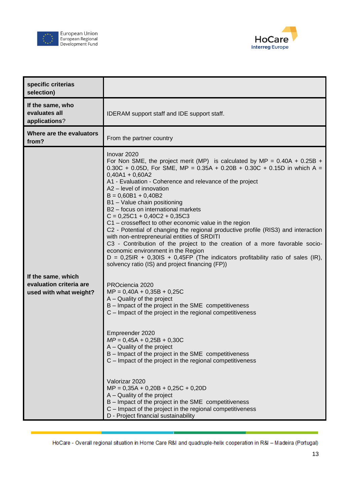





| specific criterias<br>selection)                                        |                                                                                                                                                                                                                                                                                                                                                                                                                                                                                                                                                                                                                                                                                                                                                                                                                                                                                                                                                                                                                                                                                                                                                                                                                                                                                                                                                                                                                                                                                                                                                    |
|-------------------------------------------------------------------------|----------------------------------------------------------------------------------------------------------------------------------------------------------------------------------------------------------------------------------------------------------------------------------------------------------------------------------------------------------------------------------------------------------------------------------------------------------------------------------------------------------------------------------------------------------------------------------------------------------------------------------------------------------------------------------------------------------------------------------------------------------------------------------------------------------------------------------------------------------------------------------------------------------------------------------------------------------------------------------------------------------------------------------------------------------------------------------------------------------------------------------------------------------------------------------------------------------------------------------------------------------------------------------------------------------------------------------------------------------------------------------------------------------------------------------------------------------------------------------------------------------------------------------------------------|
| If the same, who<br>evaluates all<br>applications?                      | IDERAM support staff and IDE support staff.                                                                                                                                                                                                                                                                                                                                                                                                                                                                                                                                                                                                                                                                                                                                                                                                                                                                                                                                                                                                                                                                                                                                                                                                                                                                                                                                                                                                                                                                                                        |
| Where are the evaluators<br>from?                                       | From the partner country                                                                                                                                                                                                                                                                                                                                                                                                                                                                                                                                                                                                                                                                                                                                                                                                                                                                                                                                                                                                                                                                                                                                                                                                                                                                                                                                                                                                                                                                                                                           |
| If the same, which<br>evaluation criteria are<br>used with what weight? | Inovar 2020<br>For Non SME, the project merit (MP) is calculated by MP = $0.40A + 0.25B +$<br>0.30C + 0.05D, For SME, MP = $0.35A + 0.20B + 0.30C + 0.15D$ in which A =<br>$0,40A1 + 0,60A2$<br>A1 - Evaluation - Coherence and relevance of the project<br>A2 - level of innovation<br>$B = 0,60B1 + 0,40B2$<br>B1 - Value chain positioning<br>B2 - focus on international markets<br>$C = 0,25C1 + 0,40C2 + 0,35C3$<br>C1 - crosseffect to other economic value in the region<br>C2 - Potential of changing the regional productive profile (RIS3) and interaction<br>with non-entrepreneurial entities of SRDITI<br>C3 - Contribution of the project to the creation of a more favorable socio-<br>economic environment in the Region<br>$D = 0,25IR + 0,30IS + 0,45FP$ (The indicators profitability ratio of sales (IR),<br>solvency ratio (IS) and project financing (FP))<br>PROciencia 2020<br>$MP = 0,40A + 0,35B + 0,25C$<br>A - Quality of the project<br>B - Impact of the project in the SME competitiveness<br>C - Impact of the project in the regional competitiveness<br>Empreender 2020<br>$MP = 0,45A + 0,25B + 0,30C$<br>A - Quality of the project<br>B - Impact of the project in the SME competitiveness<br>C - Impact of the project in the regional competitiveness<br>Valorizar 2020<br>$MP = 0,35A + 0,20B + 0,25C + 0,20D$<br>A – Quality of the project<br>B - Impact of the project in the SME competitiveness<br>C - Impact of the project in the regional competitiveness<br>D - Project financial sustainability |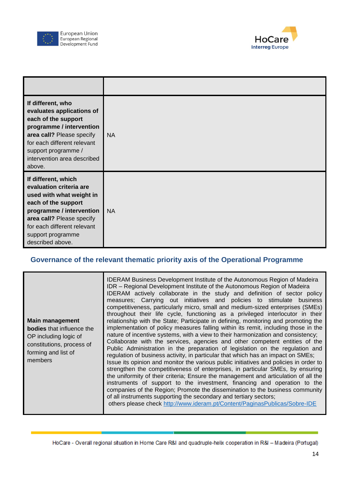



| If different, who<br>evaluates applications of<br>each of the support<br>programme / intervention<br>area call? Please specify<br>for each different relevant<br>support programme /<br>intervention area described<br>above.      | <b>NA</b> |
|------------------------------------------------------------------------------------------------------------------------------------------------------------------------------------------------------------------------------------|-----------|
| If different, which<br>evaluation criteria are<br>used with what weight in<br>each of the support<br>programme / intervention<br>area call? Please specify<br>for each different relevant<br>support programme<br>described above. | <b>NA</b> |

### **Governance of the relevant thematic priority axis of the Operational Programme**

| Main management<br><b>bodies</b> that influence the<br>OP including logic of<br>constitutions, process of<br>forming and list of<br>members | <b>IDERAM Business Development Institute of the Autonomous Region of Madeira</b><br>IDR - Regional Development Institute of the Autonomous Region of Madeira<br>IDERAM actively collaborate in the study and definition of sector policy<br>measures; Carrying out initiatives and policies to stimulate business<br>competitiveness, particularly micro, small and medium-sized enterprises (SMEs)<br>throughout their life cycle, functioning as a privileged interlocutor in their<br>relationship with the State; Participate in defining, monitoring and promoting the<br>implementation of policy measures falling within its remit, including those in the<br>nature of incentive systems, with a view to their harmonization and consistency;<br>Collaborate with the services, agencies and other competent entities of the<br>Public Administration in the preparation of legislation on the regulation and<br>regulation of business activity, in particular that which has an impact on SMEs;<br>Issue its opinion and monitor the various public initiatives and policies in order to<br>strengthen the competitiveness of enterprises, in particular SMEs, by ensuring<br>the uniformity of their criteria; Ensure the management and articulation of all the<br>instruments of support to the investment, financing and operation to the<br>companies of the Region; Promote the dissemination to the business community<br>of all instruments supporting the secondary and tertiary sectors;<br>others please check http://www.ideram.pt/Content/PaginasPublicas/Sobre-IDE |
|---------------------------------------------------------------------------------------------------------------------------------------------|--------------------------------------------------------------------------------------------------------------------------------------------------------------------------------------------------------------------------------------------------------------------------------------------------------------------------------------------------------------------------------------------------------------------------------------------------------------------------------------------------------------------------------------------------------------------------------------------------------------------------------------------------------------------------------------------------------------------------------------------------------------------------------------------------------------------------------------------------------------------------------------------------------------------------------------------------------------------------------------------------------------------------------------------------------------------------------------------------------------------------------------------------------------------------------------------------------------------------------------------------------------------------------------------------------------------------------------------------------------------------------------------------------------------------------------------------------------------------------------------------------------------------------------------------------------------------------------------|
|---------------------------------------------------------------------------------------------------------------------------------------------|--------------------------------------------------------------------------------------------------------------------------------------------------------------------------------------------------------------------------------------------------------------------------------------------------------------------------------------------------------------------------------------------------------------------------------------------------------------------------------------------------------------------------------------------------------------------------------------------------------------------------------------------------------------------------------------------------------------------------------------------------------------------------------------------------------------------------------------------------------------------------------------------------------------------------------------------------------------------------------------------------------------------------------------------------------------------------------------------------------------------------------------------------------------------------------------------------------------------------------------------------------------------------------------------------------------------------------------------------------------------------------------------------------------------------------------------------------------------------------------------------------------------------------------------------------------------------------------------|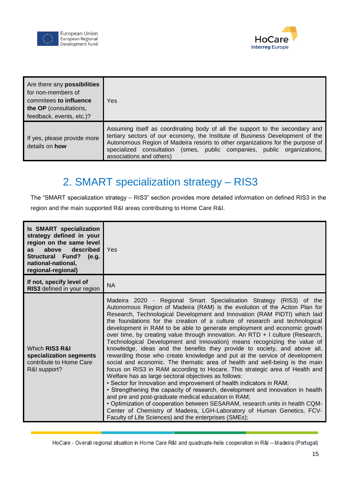



| Are there any <b>possibilities</b><br>for non-members of<br>commitees to influence<br>the OP (consultations,<br>feedback, events, etc.)? | Yes                                                                                                                                                                                                                                                                                                                                                    |
|------------------------------------------------------------------------------------------------------------------------------------------|--------------------------------------------------------------------------------------------------------------------------------------------------------------------------------------------------------------------------------------------------------------------------------------------------------------------------------------------------------|
| If yes, please provide more<br>details on <b>how</b>                                                                                     | Assuming itself as coordinating body of all the support to the secondary and<br>tertiary sectors of our economy, the Institute of Business Development of the<br>Autonomous Region of Madeira resorts to other organizations for the purpose of<br>specialized consultation (smes, public companies, public organizations,<br>associations and others) |

# 2. SMART specialization strategy – RIS3

<span id="page-14-0"></span>The "SMART specialization strategy – RIS3" section provides more detailed information on defined RIS3 in the region and the main supported R&I areas contributing to Home Care R&I.

| <b>Is SMART specialization</b><br>strategy defined in your<br>region on the same level<br>above<br>described<br><b>as</b><br>Structural Fund? (e.g.<br>national-national.<br>regional-regional) | Yes                                                                                                                                                                                                                                                                                                                                                                                                                                                                                                                                                                                                                                                                                                                                                                                                                                                                                                                                                                                                                                                                                                                                                                                                                                                                                                                                                                          |
|-------------------------------------------------------------------------------------------------------------------------------------------------------------------------------------------------|------------------------------------------------------------------------------------------------------------------------------------------------------------------------------------------------------------------------------------------------------------------------------------------------------------------------------------------------------------------------------------------------------------------------------------------------------------------------------------------------------------------------------------------------------------------------------------------------------------------------------------------------------------------------------------------------------------------------------------------------------------------------------------------------------------------------------------------------------------------------------------------------------------------------------------------------------------------------------------------------------------------------------------------------------------------------------------------------------------------------------------------------------------------------------------------------------------------------------------------------------------------------------------------------------------------------------------------------------------------------------|
| If not, specify level of<br>RIS3 defined in your region                                                                                                                                         | <b>NA</b>                                                                                                                                                                                                                                                                                                                                                                                                                                                                                                                                                                                                                                                                                                                                                                                                                                                                                                                                                                                                                                                                                                                                                                                                                                                                                                                                                                    |
| Which RIS3 R&I<br>specialization segments<br>contribute to Home Care<br>R&I support?                                                                                                            | Madeira 2020 - Regional Smart Specialisation Strategy (RIS3) of the<br>Autonomous Region of Madeira (RAM) is the evolution of the Action Plan for<br>Research, Technological Development and Innovation (RAM PIDTI) which laid<br>the foundations for the creation of a culture of research and technological<br>development in RAM to be able to generate employment and economic growth<br>over time, by creating value through innovation. An RTD + I culture (Research,<br>Technological Development and Innovation) means recognizing the value of<br>knowledge, ideas and the benefits they provide to society, and above all,<br>rewarding those who create knowledge and put at the service of development<br>social and economic. The thematic area of health and well-being is the main<br>focus on RIS3 in RAM according to Hocare. This strategic area of Health and<br>Welfare has as large sectoral objectives as follows:<br>• Sector for Innovation and improvement of health indicators in RAM;<br>• Strengthening the capacity of research, development and innovation in health<br>and pre and post-graduate medical education in RAM;<br>. Optimization of cooperation between SESARAM, research units in health CQM-<br>Center of Chemistry of Madeira, LGH-Laboratory of Human Genetics, FCV-<br>Faculty of Life Sciences) and the enterprises (SMEs); |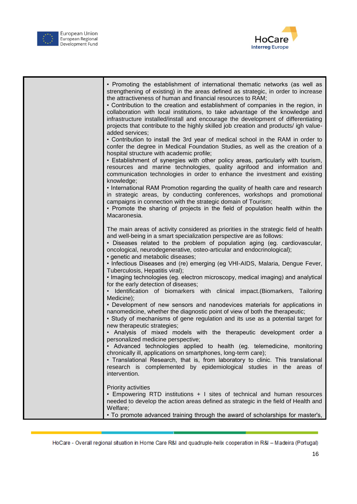



| • Promoting the establishment of international thematic networks (as well as<br>strengthening of existing) in the areas defined as strategic, in order to increase<br>the attractiveness of human and financial resources to RAM;<br>• Contribution to the creation and establishment of companies in the region, in<br>collaboration with local institutions, to take advantage of the knowledge and<br>infrastructure installed/install and encourage the development of differentiating<br>projects that contribute to the highly skilled job creation and products/ igh value-<br>added services;<br>• Contribution to install the 3rd year of medical school in the RAM in order to                                                                                                                                                                                                                                                                                                                                                                                                                                                                                                                                                                                                                                                                                                                              |
|-----------------------------------------------------------------------------------------------------------------------------------------------------------------------------------------------------------------------------------------------------------------------------------------------------------------------------------------------------------------------------------------------------------------------------------------------------------------------------------------------------------------------------------------------------------------------------------------------------------------------------------------------------------------------------------------------------------------------------------------------------------------------------------------------------------------------------------------------------------------------------------------------------------------------------------------------------------------------------------------------------------------------------------------------------------------------------------------------------------------------------------------------------------------------------------------------------------------------------------------------------------------------------------------------------------------------------------------------------------------------------------------------------------------------|
| confer the degree in Medical Foundation Studies, as well as the creation of a<br>hospital structure with academic profile;<br>· Establishment of synergies with other policy areas, particularly with tourism,<br>resources and marine technologies, quality agrifood and information and<br>communication technologies in order to enhance the investment and existing<br>knowledge;<br>• International RAM Promotion regarding the quality of health care and research<br>in strategic areas, by conducting conferences, workshops and promotional<br>campaigns in connection with the strategic domain of Tourism;<br>• Promote the sharing of projects in the field of population health within the<br>Macaronesia.                                                                                                                                                                                                                                                                                                                                                                                                                                                                                                                                                                                                                                                                                               |
| The main areas of activity considered as priorities in the strategic field of health<br>and well-being in a smart specialization perspective are as follows:<br>· Diseases related to the problem of population aging (eg. cardiovascular,<br>oncological, neurodegenerative, osteo-articular and endocrinological);<br>· genetic and metabolic diseases;<br>• Infectious Diseases and (re) emerging (eg VHI-AIDS, Malaria, Dengue Fever,<br>Tuberculosis, Hepatitis viral);<br>• Imaging technologies (eg. electron microscopy, medical imaging) and analytical<br>for the early detection of diseases;<br>Identification of biomarkers with clinical impact. (Biomarkers, Tailoring<br>Medicine);<br>• Development of new sensors and nanodevices materials for applications in<br>nanomedicine, whether the diagnostic point of view of both the therapeutic;<br>• Study of mechanisms of gene regulation and its use as a potential target for<br>new therapeutic strategies;<br>• Analysis of mixed models with the therapeutic development order a<br>personalized medicine perspective;<br>Advanced technologies applied to health (eg. telemedicine, monitoring<br>chronically ill, applications on smartphones, long-term care);<br>• Translational Research, that is, from laboratory to clinic. This translational<br>research is complemented by epidemiological studies in the areas of<br>intervention. |
| Priority activities<br>• Empowering RTD institutions + I sites of technical and human resources<br>needed to develop the action areas defined as strategic in the field of Health and<br>Welfare;<br>. To promote advanced training through the award of scholarships for master's,                                                                                                                                                                                                                                                                                                                                                                                                                                                                                                                                                                                                                                                                                                                                                                                                                                                                                                                                                                                                                                                                                                                                   |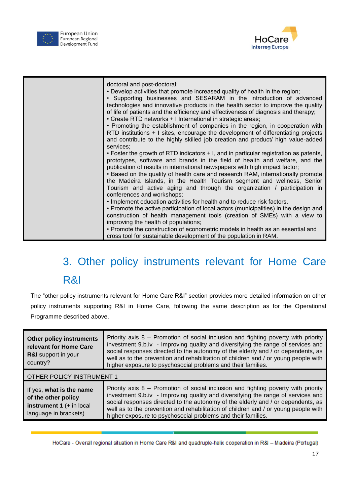



| doctoral and post-doctoral;                                                                                                                                |
|------------------------------------------------------------------------------------------------------------------------------------------------------------|
| . Develop activities that promote increased quality of health in the region;                                                                               |
| • Supporting businesses and SESARAM in the introduction of advanced<br>technologies and innovative products in the health sector to improve the quality    |
| of life of patients and the efficiency and effectiveness of diagnosis and therapy;                                                                         |
| • Create RTD networks + I International in strategic areas;                                                                                                |
| • Promoting the establishment of companies in the region, in cooperation with                                                                              |
| RTD institutions + I sites, encourage the development of differentiating projects                                                                          |
| and contribute to the highly skilled job creation and product/ high value-added<br>services:                                                               |
| • Foster the growth of RTD indicators + I, and in particular registration as patents,                                                                      |
| prototypes, software and brands in the field of health and welfare, and the                                                                                |
| publication of results in international newspapers with high impact factor;                                                                                |
| • Based on the quality of health care and research RAM, internationally promote<br>the Madeira Islands, in the Health Tourism segment and wellness, Senior |
| Tourism and active aging and through the organization / participation in                                                                                   |
| conferences and workshops;                                                                                                                                 |
| • Implement education activities for health and to reduce risk factors.                                                                                    |
| • Promote the active participation of local actors (municipalities) in the design and                                                                      |
| construction of health management tools (creation of SMEs) with a view to<br>improving the health of populations;                                          |
| • Promote the construction of econometric models in health as an essential and                                                                             |
| cross tool for sustainable development of the population in RAM.                                                                                           |

# <span id="page-16-0"></span>3. Other policy instruments relevant for Home Care R&I

The "other policy instruments relevant for Home Care R&I" section provides more detailed information on other policy instruments supporting R&I in Home Care, following the same description as for the Operational Programme described above.

| <b>Other policy instruments</b><br>relevant for Home Care<br><b>R&amp;I</b> support in your<br>country? | Priority axis 8 – Promotion of social inclusion and fighting poverty with priority<br>investment 9.b.iv - Improving quality and diversifying the range of services and<br>social responses directed to the autonomy of the elderly and / or dependents, as<br>well as to the prevention and rehabilitation of children and / or young people with<br>higher exposure to psychosocial problems and their families.   |  |
|---------------------------------------------------------------------------------------------------------|---------------------------------------------------------------------------------------------------------------------------------------------------------------------------------------------------------------------------------------------------------------------------------------------------------------------------------------------------------------------------------------------------------------------|--|
| <b>OTHER POLICY INSTRUMENT 1</b>                                                                        |                                                                                                                                                                                                                                                                                                                                                                                                                     |  |
| If yes, what is the name<br>of the other policy<br>instrument $1$ (+ in local<br>language in brackets)  | Priority axis $8$ – Promotion of social inclusion and fighting poverty with priority<br>investment 9.b.iv - Improving quality and diversifying the range of services and<br>social responses directed to the autonomy of the elderly and / or dependents, as<br>well as to the prevention and rehabilitation of children and / or young people with<br>higher exposure to psychosocial problems and their families. |  |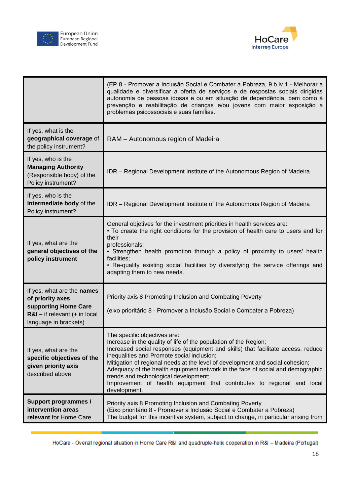



|                                                                                                                                    | (EP 8 - Promover a Inclusão Social e Combater a Pobreza, 9.b.iv.1 - Melhorar a<br>qualidade e diversificar a oferta de serviços e de respostas sociais dirigidas<br>autonomia de pessoas idosas e ou em situação de dependência, bem como à<br>prevenção e reabilitação de crianças e/ou jovens com maior exposição a<br>problemas psicossociais e suas famílias.                                                                                                                                                                        |
|------------------------------------------------------------------------------------------------------------------------------------|------------------------------------------------------------------------------------------------------------------------------------------------------------------------------------------------------------------------------------------------------------------------------------------------------------------------------------------------------------------------------------------------------------------------------------------------------------------------------------------------------------------------------------------|
| If yes, what is the<br>geographical coverage of<br>the policy instrument?                                                          | RAM - Autonomous region of Madeira                                                                                                                                                                                                                                                                                                                                                                                                                                                                                                       |
| If yes, who is the<br><b>Managing Authority</b><br>(Responsible body) of the<br>Policy instrument?                                 | IDR - Regional Development Institute of the Autonomous Region of Madeira                                                                                                                                                                                                                                                                                                                                                                                                                                                                 |
| If yes, who is the<br>Intermediate body of the<br>Policy instrument?                                                               | IDR - Regional Development Institute of the Autonomous Region of Madeira                                                                                                                                                                                                                                                                                                                                                                                                                                                                 |
| If yes, what are the<br>general objectives of the<br>policy instrument                                                             | General objetives for the investment priorities in health services are:<br>• To create the right conditions for the provision of health care to users and for<br>their<br>professionals;<br>• Strengthen health promotion through a policy of proximity to users' health<br>facilities;<br>• Re-qualify existing social facilities by diversifying the service offerings and<br>adapting them to new needs.                                                                                                                              |
| If yes, what are the names<br>of priority axes<br>supporting Home Care<br>$R&I$ – if relevant (+ in local<br>language in brackets) | Priority axis 8 Promoting Inclusion and Combating Poverty<br>(eixo prioritário 8 - Promover a Inclusão Social e Combater a Pobreza)                                                                                                                                                                                                                                                                                                                                                                                                      |
| If yes, what are the<br>specific objectives of the<br>given priority axis<br>described above                                       | The specific objectives are:<br>Increase in the quality of life of the population of the Region;<br>Increased social responses (equipment and skills) that facilitate access, reduce<br>inequalities and Promote social inclusion;<br>Mitigation of regional needs at the level of development and social cohesion;<br>Adequacy of the health equipment network in the face of social and demographic<br>trends and technological development;<br>Improvement of health equipment that contributes to regional and local<br>development. |
| <b>Support programmes /</b><br>intervention areas<br>relevant for Home Care                                                        | Priority axis 8 Promoting Inclusion and Combating Poverty<br>(Eixo prioritário 8 - Promover a Inclusão Social e Combater a Pobreza)<br>The budget for this incentive system, subject to change, in particular arising from                                                                                                                                                                                                                                                                                                               |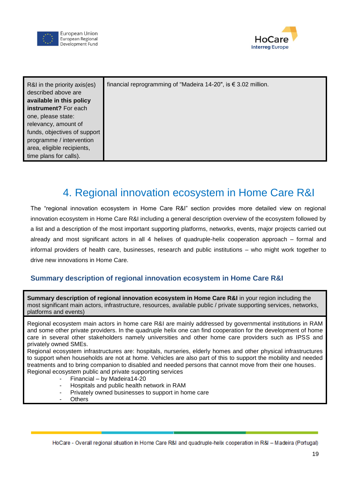



| R&I in the priority axis(es)<br>described above are<br>available in this policy<br>instrument? For each<br>one, please state:<br>relevancy, amount of<br>funds, objectives of support<br>programme / intervention<br>area, eligible recipients,<br>time plans for calls). | financial reprogramming of "Madeira 14-20", is € 3.02 million. |
|---------------------------------------------------------------------------------------------------------------------------------------------------------------------------------------------------------------------------------------------------------------------------|----------------------------------------------------------------|
|                                                                                                                                                                                                                                                                           |                                                                |

## 4. Regional innovation ecosystem in Home Care R&I

<span id="page-18-0"></span>The "regional innovation ecosystem in Home Care R&I" section provides more detailed view on regional innovation ecosystem in Home Care R&I including a general description overview of the ecosystem followed by a list and a description of the most important supporting platforms, networks, events, major projects carried out already and most significant actors in all 4 helixes of quadruple-helix cooperation approach – formal and informal providers of health care, businesses, research and public institutions – who might work together to drive new innovations in Home Care.

#### **Summary description of regional innovation ecosystem in Home Care R&I**

**Summary description of regional innovation ecosystem in Home Care R&I** in your region including the most significant main actors, infrastructure, resources, available public / private supporting services, networks, platforms and events)

Regional ecosystem main actors in home care R&I are mainly addressed by governmental institutions in RAM and some other private providers. In the quadruple helix one can find cooperation for the development of home care in several other stakeholders namely universities and other home care providers such as IPSS and privately owned SMEs.

Regional ecosystem infrastructures are: hospitals, nurseries, elderly homes and other physical infrastructures to support when households are not at home. Vehicles are also part of this to support the mobility and needed treatments and to bring companion to disabled and needed persons that cannot move from their one houses. Regional ecosystem public and private supporting services

- Financial by Madeira14-20
- Hospitals and public health network in RAM
- Privately owned businesses to support in home care
- **Others**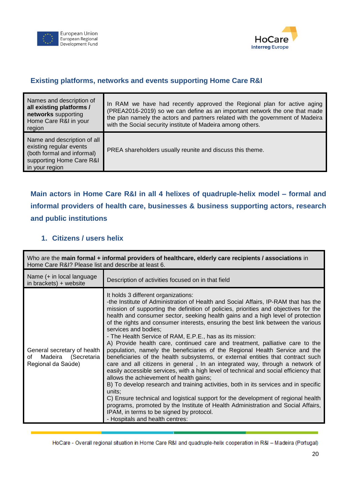



#### **Existing platforms, networks and events supporting Home Care R&I**

| Names and description of<br>all existing platforms /<br>networks supporting<br>Home Care R&I in your<br>region                     | In RAM we have had recently approved the Regional plan for active aging<br>(PREA2016-2019) so we can define as an important network the one that made<br>the plan namely the actors and partners related with the government of Madeira<br>with the Social security institute of Madeira among others. |
|------------------------------------------------------------------------------------------------------------------------------------|--------------------------------------------------------------------------------------------------------------------------------------------------------------------------------------------------------------------------------------------------------------------------------------------------------|
| Name and description of all<br>existing regular events<br>(both formal and informal)<br>supporting Home Care R&I<br>in your region | PREA shareholders usually reunite and discuss this theme.                                                                                                                                                                                                                                              |

**Main actors in Home Care R&I in all 4 helixes of quadruple-helix model – formal and informal providers of health care, businesses & business supporting actors, research and public institutions** 

#### **1. Citizens / users helix**

| Who are the main formal + informal providers of healthcare, elderly care recipients / associations in<br>Home Care R&I? Please list and describe at least 6. |                                                                                                                                                                                                                                                                                                                                                                                                                                                                                                                                                                                                                                                                                                                                                                                                                                                                                                                                                                                                                                                                                                                                                                                                                                                                                                             |  |
|--------------------------------------------------------------------------------------------------------------------------------------------------------------|-------------------------------------------------------------------------------------------------------------------------------------------------------------------------------------------------------------------------------------------------------------------------------------------------------------------------------------------------------------------------------------------------------------------------------------------------------------------------------------------------------------------------------------------------------------------------------------------------------------------------------------------------------------------------------------------------------------------------------------------------------------------------------------------------------------------------------------------------------------------------------------------------------------------------------------------------------------------------------------------------------------------------------------------------------------------------------------------------------------------------------------------------------------------------------------------------------------------------------------------------------------------------------------------------------------|--|
| Name (+ in local language<br>in brackets) $+$ website                                                                                                        | Description of activities focused on in that field                                                                                                                                                                                                                                                                                                                                                                                                                                                                                                                                                                                                                                                                                                                                                                                                                                                                                                                                                                                                                                                                                                                                                                                                                                                          |  |
| General secretary of health<br>Madeira (Secretaria<br>οf<br>Regional da Saúde)                                                                               | It holds 3 different organizations:<br>-the Institute of Administration of Health and Social Affairs, IP-RAM that has the<br>mission of supporting the definition of policies, priorities and objectives for the<br>health and consumer sector, seeking health gains and a high level of protection<br>of the rights and consumer interests, ensuring the best link between the various<br>services and bodies;<br>- The Health Service of RAM, E.P.E., has as its mission:<br>A) Provide health care, continued care and treatment, palliative care to the<br>population, namely the beneficiaries of the Regional Health Service and the<br>beneficiaries of the health subsystems, or external entities that contract such<br>care and all citizens in general, In an integrated way, through a network of<br>easily accessible services, with a high level of technical and social efficiency that<br>allows the achievement of health gains;<br>B) To develop research and training activities, both in its services and in specific<br>units:<br>C) Ensure technical and logistical support for the development of regional health<br>programs, promoted by the Institute of Health Administration and Social Affairs,<br>IPAM, in terms to be signed by protocol.<br>- Hospitals and health centres: |  |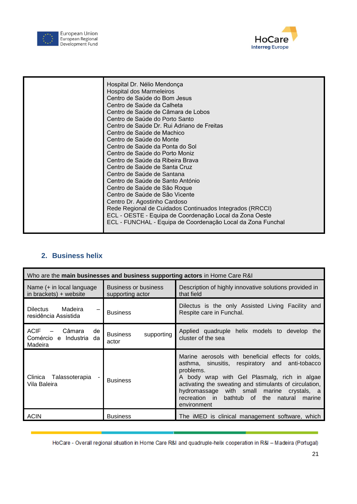



### **2. Business helix**

| Who are the main businesses and business supporting actors in Home Care R&I |                                                 |                                                                                                                                                                                                                                                                                                                                                      |  |
|-----------------------------------------------------------------------------|-------------------------------------------------|------------------------------------------------------------------------------------------------------------------------------------------------------------------------------------------------------------------------------------------------------------------------------------------------------------------------------------------------------|--|
| Name (+ in local language<br>in brackets) $+$ website                       | <b>Business or business</b><br>supporting actor | Description of highly innovative solutions provided in<br>that field                                                                                                                                                                                                                                                                                 |  |
| Madeira<br>Dilectus<br>residência Assistida                                 | <b>Business</b>                                 | Dilectus is the only Assisted Living Facility and<br>Respite care in Funchal.                                                                                                                                                                                                                                                                        |  |
| <b>ACIF</b><br>Câmara<br>de<br>Comércio e Industria da<br>Madeira           | <b>Business</b><br>supporting<br>actor          | Applied quadruple helix models to develop the<br>cluster of the sea                                                                                                                                                                                                                                                                                  |  |
| Clinica<br>Talassoterapia<br>Vila Baleira                                   | <b>Business</b>                                 | Marine aerosols with beneficial effects for colds,<br>asthma, sinusitis, respiratory and<br>anti-tobacco<br>problems.<br>A body wrap with Gel Plasmalg, rich in algae<br>activating the sweating and stimulants of circulation,<br>hydromassage with small marine crystals, a<br>recreation in<br>bathtub of<br>the natural<br>marine<br>environment |  |
| <b>ACIN</b>                                                                 | <b>Business</b>                                 | The iMED is clinical management software, which                                                                                                                                                                                                                                                                                                      |  |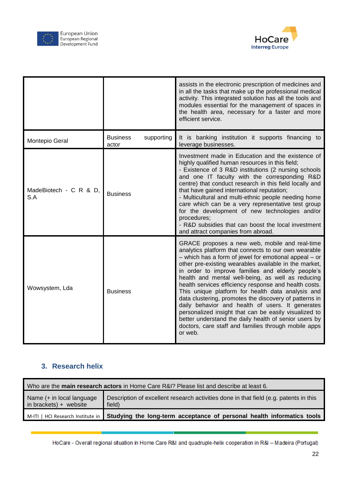



|                               | assists in the electronic prescription of medicines and<br>in all the tasks that make up the professional medical<br>activity. This integrated solution has all the tools and<br>modules essential for the management of spaces in<br>the health area, necessary for a faster and more<br>efficient service. |                                                                                                                                                                                                                                                                                                                                                                                                                                                                                                                                                                                                                                                                                                                                                     |  |
|-------------------------------|--------------------------------------------------------------------------------------------------------------------------------------------------------------------------------------------------------------------------------------------------------------------------------------------------------------|-----------------------------------------------------------------------------------------------------------------------------------------------------------------------------------------------------------------------------------------------------------------------------------------------------------------------------------------------------------------------------------------------------------------------------------------------------------------------------------------------------------------------------------------------------------------------------------------------------------------------------------------------------------------------------------------------------------------------------------------------------|--|
| Montepio Geral                | <b>Business</b><br>supporting<br>actor                                                                                                                                                                                                                                                                       | It is banking institution it supports financing to<br>leverage businesses.                                                                                                                                                                                                                                                                                                                                                                                                                                                                                                                                                                                                                                                                          |  |
| MadeBiotech - C R & D,<br>S.A | <b>Business</b>                                                                                                                                                                                                                                                                                              | Investment made in Education and the existence of<br>highly qualified human resources in this field;<br>- Existence of 3 R&D institutions (2 nursing schools<br>and one IT faculty with the corresponding R&D<br>centre) that conduct research in this field locally and<br>that have gained international reputation;<br>- Multicultural and multi-ethnic people needing home<br>care which can be a very representative test group<br>for the development of new technologies and/or<br>procedures;<br>- R&D subsidies that can boost the local investment<br>and attract companies from abroad.                                                                                                                                                  |  |
| Wowsystem, Lda                | <b>Business</b>                                                                                                                                                                                                                                                                                              | GRACE proposes a new web, mobile and real-time<br>analytics platform that connects to our own wearable<br>- which has a form of jewel for emotional appeal - or<br>other pre-existing wearables available in the market,<br>in order to improve families and elderly people's<br>health and mental well-being, as well as reducing<br>health services efficiency response and health costs.<br>This unique platform for health data analysis and<br>data clustering, promotes the discovery of patterns in<br>daily behavior and health of users. It generates<br>personalized insight that can be easily visualized to<br>better understand the daily health of senior users by<br>doctors, care staff and families through mobile apps<br>or web. |  |

### **3. Research helix**

| Who are the main research actors in Home Care R&I? Please list and describe at least 6. |                                                                                                            |  |  |
|-----------------------------------------------------------------------------------------|------------------------------------------------------------------------------------------------------------|--|--|
| Name (+ in local language<br>in brackets) + website                                     | Description of excellent research activities done in that field (e.g. patents in this<br>field)            |  |  |
|                                                                                         | M-ITI   HCI Research Institute in   Studying the long-term acceptance of personal health informatics tools |  |  |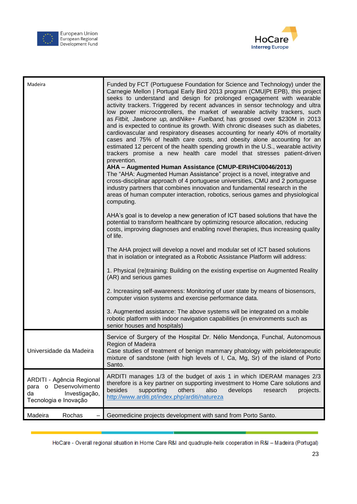



| Madeira                                                                                                | Funded by FCT (Portuguese Foundation for Science and Technology) under the<br>Carnegie Mellon   Portugal Early Bird 2013 program (CMU Pt EPB), this project<br>seeks to understand and design for prolonged engagement with wearable<br>activity trackers. Triggered by recent advances in sensor technology and ultra<br>low power microcontrollers, the market of wearable activity trackers, such<br>as Fitbit, Jawbone up, and Nike+ Fuelband, has grossed over \$230M in 2013<br>and is expected to continue its growth. With chronic diseases such as diabetes,<br>cardiovascular and respiratory diseases accounting for nearly 40% of mortality<br>cases and 75% of health care costs, and obesity alone accounting for an<br>estimated 12 percent of the health spending growth in the U.S., wearable activity<br>trackers promise a new health care model that stresses patient-driven<br>prevention.<br>AHA - Augmented Human Assistance (CMUP-ERI/HCI/0046/2013)<br>The "AHA: Augmented Human Assistance" project is a novel, integrative and<br>cross-disciplinar approach of 4 portuguese universities, CMU and 2 portuguese<br>industry partners that combines innovation and fundamental research in the<br>areas of human computer interaction, robotics, serious games and physiological<br>computing.<br>AHA's goal is to develop a new generation of ICT based solutions that have the<br>potential to transform healthcare by optimizing resource allocation, reducing<br>costs, improving diagnoses and enabling novel therapies, thus increasing quality<br>of life.<br>The AHA project will develop a novel and modular set of ICT based solutions<br>that in isolation or integrated as a Robotic Assistance Platform will address:<br>1. Physical (re)training: Building on the existing expertise on Augmented Reality<br>(AR) and serious games<br>2. Increasing self-awareness: Monitoring of user state by means of biosensors,<br>computer vision systems and exercise performance data.<br>3. Augmented assistance: The above systems will be integrated on a mobile |
|--------------------------------------------------------------------------------------------------------|------------------------------------------------------------------------------------------------------------------------------------------------------------------------------------------------------------------------------------------------------------------------------------------------------------------------------------------------------------------------------------------------------------------------------------------------------------------------------------------------------------------------------------------------------------------------------------------------------------------------------------------------------------------------------------------------------------------------------------------------------------------------------------------------------------------------------------------------------------------------------------------------------------------------------------------------------------------------------------------------------------------------------------------------------------------------------------------------------------------------------------------------------------------------------------------------------------------------------------------------------------------------------------------------------------------------------------------------------------------------------------------------------------------------------------------------------------------------------------------------------------------------------------------------------------------------------------------------------------------------------------------------------------------------------------------------------------------------------------------------------------------------------------------------------------------------------------------------------------------------------------------------------------------------------------------------------------------------------------------------------------------------------------------------------------------------------------------------------|
|                                                                                                        | robotic platform with indoor navigation capabilities (in environments such as<br>senior houses and hospitals)                                                                                                                                                                                                                                                                                                                                                                                                                                                                                                                                                                                                                                                                                                                                                                                                                                                                                                                                                                                                                                                                                                                                                                                                                                                                                                                                                                                                                                                                                                                                                                                                                                                                                                                                                                                                                                                                                                                                                                                        |
| Universidade da Madeira                                                                                | Service of Surgery of the Hospital Dr. Nélio Mendonça, Funchal, Autonomous<br>Region of Madeira<br>Case studies of treatment of benign mammary phatology with peloideterapeutic<br>mixture of sandstone (with high levels of I, Ca, Mg, Sr) of the island of Porto<br>Santo.                                                                                                                                                                                                                                                                                                                                                                                                                                                                                                                                                                                                                                                                                                                                                                                                                                                                                                                                                                                                                                                                                                                                                                                                                                                                                                                                                                                                                                                                                                                                                                                                                                                                                                                                                                                                                         |
| ARDITI - Agência Regional<br>Desenvolvimento<br>para o<br>Investigação,<br>da<br>Tecnologia e Inovação | ARDITI manages 1/3 of the budget of axis 1 in which IDERAM manages 2/3<br>therefore is a key partner on supporting investment to Home Care solutions and<br>besides<br>supporting<br>others<br>also<br>develops<br>research<br>projects.<br>http://www.arditi.pt/index.php/arditi/natureza                                                                                                                                                                                                                                                                                                                                                                                                                                                                                                                                                                                                                                                                                                                                                                                                                                                                                                                                                                                                                                                                                                                                                                                                                                                                                                                                                                                                                                                                                                                                                                                                                                                                                                                                                                                                           |
| Madeira<br>Rochas                                                                                      | Geomedicine projects development with sand from Porto Santo.                                                                                                                                                                                                                                                                                                                                                                                                                                                                                                                                                                                                                                                                                                                                                                                                                                                                                                                                                                                                                                                                                                                                                                                                                                                                                                                                                                                                                                                                                                                                                                                                                                                                                                                                                                                                                                                                                                                                                                                                                                         |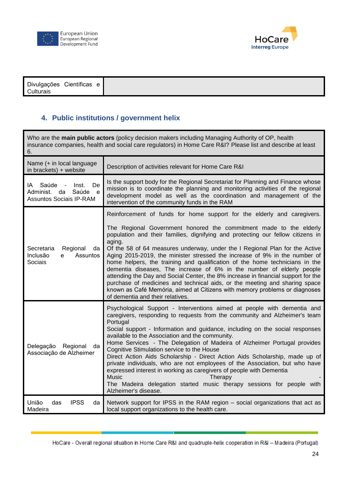



|--|

### **4. Public institutions / government helix**

| Who are the main public actors (policy decision makers including Managing Authority of OP, health<br>insurance companies, health and social care regulators) in Home Care R&I? Please list and describe at least<br>6. |                                                                                                                                                                                                                                                                                                                                                                                                                                                                                                                                                                                                                                                                                                                                                                                                                                                      |  |
|------------------------------------------------------------------------------------------------------------------------------------------------------------------------------------------------------------------------|------------------------------------------------------------------------------------------------------------------------------------------------------------------------------------------------------------------------------------------------------------------------------------------------------------------------------------------------------------------------------------------------------------------------------------------------------------------------------------------------------------------------------------------------------------------------------------------------------------------------------------------------------------------------------------------------------------------------------------------------------------------------------------------------------------------------------------------------------|--|
| Name (+ in local language<br>in brackets) + website                                                                                                                                                                    | Description of activities relevant for Home Care R&I                                                                                                                                                                                                                                                                                                                                                                                                                                                                                                                                                                                                                                                                                                                                                                                                 |  |
| Saúde<br>Inst.<br>De<br>IA.<br>Saúde<br>Administ.<br>da<br>e<br><b>Assuntos Sociais IP-RAM</b>                                                                                                                         | Is the support body for the Regional Secretariat for Planning and Finance whose<br>mission is to coordinate the planning and monitoring activities of the regional<br>development model as well as the coordination and management of the<br>intervention of the community funds in the RAM                                                                                                                                                                                                                                                                                                                                                                                                                                                                                                                                                          |  |
| Secretaria<br>Regional<br>da<br>Assuntos<br>Inclusão<br>e<br>Sociais                                                                                                                                                   | Reinforcement of funds for home support for the elderly and caregivers.<br>The Regional Government honored the commitment made to the elderly<br>population and their families, dignifying and protecting our fellow citizens in<br>aging.<br>Of the 58 of 64 measures underway, under the I Regional Plan for the Active<br>Aging 2015-2019, the minister stressed the increase of 9% in the number of<br>home helpers, the training and qualification of the home technicians in the<br>dementia diseases, The increase of 6% in the number of elderly people<br>attending the Day and Social Center, the 8% increase in financial support for the<br>purchase of medicines and technical aids, or the meeting and sharing space<br>known as Café Memória, aimed at Citizens with memory problems or diagnoses<br>of dementia and their relatives. |  |
| Delegação Regional<br>da<br>Associação de Alzheimer                                                                                                                                                                    | Psychological Support - Interventions aimed at people with dementia and<br>caregivers, responding to requests from the community and Alzheimer's team<br>Portugal<br>Social support - Information and guidance, including on the social responses<br>available to the Association and the community.<br>Home Services - The Delegation of Madeira of Alzheimer Portugal provides<br>Cognitive Stimulation service to the House<br>Direct Action Aids Scholarship - Direct Action Aids Scholarship, made up of<br>private individuals, who are not employees of the Association, but who have<br>expressed interest in working as caregivers of people with Dementia<br><b>Music</b><br>Therapy<br>The Madeira delegation started music therapy sessions for people with<br>Alzheimer's disease.                                                      |  |
| <b>IPSS</b><br>União<br>das<br>da<br>Madeira                                                                                                                                                                           | Network support for IPSS in the RAM region – social organizations that act as<br>local support organizations to the health care.                                                                                                                                                                                                                                                                                                                                                                                                                                                                                                                                                                                                                                                                                                                     |  |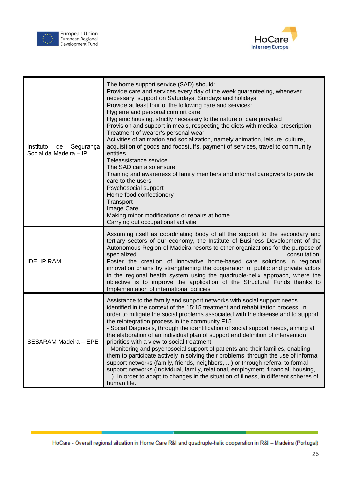



| Instituto<br>Segurança<br>de<br>Social da Madeira - IP | The home support service (SAD) should:<br>Provide care and services every day of the week guaranteeing, whenever<br>necessary, support on Saturdays, Sundays and holidays<br>Provide at least four of the following care and services:<br>Hygiene and personal comfort care<br>Hygienic housing, strictly necessary to the nature of care provided<br>Provision and support in meals, respecting the diets with medical prescription<br>Treatment of wearer's personal wear<br>Activities of animation and socialization, namely animation, leisure, culture,<br>acquisition of goods and foodstuffs, payment of services, travel to community<br>entities<br>Teleassistance service.<br>The SAD can also ensure:<br>Training and awareness of family members and informal caregivers to provide<br>care to the users<br>Psychosocial support<br>Home food confectionery<br>Transport<br>Image Care<br>Making minor modifications or repairs at home<br>Carrying out occupational activitie |
|--------------------------------------------------------|---------------------------------------------------------------------------------------------------------------------------------------------------------------------------------------------------------------------------------------------------------------------------------------------------------------------------------------------------------------------------------------------------------------------------------------------------------------------------------------------------------------------------------------------------------------------------------------------------------------------------------------------------------------------------------------------------------------------------------------------------------------------------------------------------------------------------------------------------------------------------------------------------------------------------------------------------------------------------------------------|
| IDE, IP RAM                                            | Assuming itself as coordinating body of all the support to the secondary and<br>tertiary sectors of our economy, the Institute of Business Development of the<br>Autonomous Region of Madeira resorts to other organizations for the purpose of<br>specialized<br>consultation.<br>Foster the creation of innovative home-based care solutions in regional<br>innovation chains by strengthening the cooperation of public and private actors<br>in the regional health system using the quadruple-helix approach, where the<br>objective is to improve the application of the Structural Funds thanks to<br>Implementation of international policies                                                                                                                                                                                                                                                                                                                                       |
| SESARAM Madeira - EPE                                  | Assistance to the family and support networks with social support needs<br>identified in the context of the 15:15 treatment and rehabilitation process, in<br>order to mitigate the social problems associated with the disease and to support<br>the reintegration process in the community.F15<br>- Social Diagnosis, through the identification of social support needs, aiming at<br>the elaboration of an individual plan of support and definition of intervention<br>priorities with a view to social treatment.<br>- Monitoring and psychosocial support of patients and their families, enabling<br>them to participate actively in solving their problems, through the use of informal<br>support networks (family, friends, neighbors, ) or through referral to formal<br>support networks (Individual, family, relational, employment, financial, housing,<br>). In order to adapt to changes in the situation of illness, in different spheres of<br>human life.               |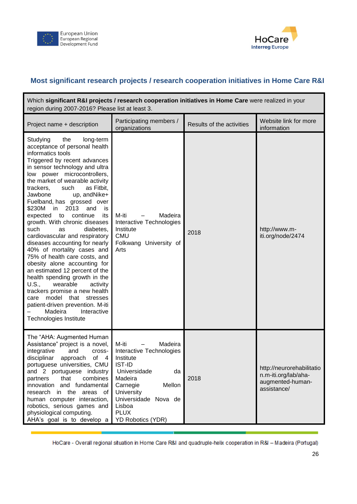



#### **Most significant research projects / research cooperation initiatives in Home Care R&I**

| Which significant R&I projects / research cooperation initiatives in Home Care were realized in your<br>region during 2007-2016? Please list at least 3.                                                                                                                                                                                                                                                                                                                                                                                                                                                                                                                                                                                                                                                                                                                                |                                                                                                                                                                                                                       |                           |                                                                                      |  |
|-----------------------------------------------------------------------------------------------------------------------------------------------------------------------------------------------------------------------------------------------------------------------------------------------------------------------------------------------------------------------------------------------------------------------------------------------------------------------------------------------------------------------------------------------------------------------------------------------------------------------------------------------------------------------------------------------------------------------------------------------------------------------------------------------------------------------------------------------------------------------------------------|-----------------------------------------------------------------------------------------------------------------------------------------------------------------------------------------------------------------------|---------------------------|--------------------------------------------------------------------------------------|--|
| Project name + description                                                                                                                                                                                                                                                                                                                                                                                                                                                                                                                                                                                                                                                                                                                                                                                                                                                              | Participating members /<br>organizations                                                                                                                                                                              | Results of the activities | Website link for more<br>information                                                 |  |
| the<br>Studying<br>long-term<br>acceptance of personal health<br>informatics tools<br>Triggered by recent advances<br>in sensor technology and ultra<br>low power microcontrollers,<br>the market of wearable activity<br>as Fitbit,<br>trackers,<br>such<br>up, andNike+<br>Jawbone<br>Fuelband, has grossed over<br>2013<br>\$230M<br>in<br>and<br>is<br>continue<br>expected<br>its<br>to<br>growth. With chronic diseases<br>such<br>diabetes,<br>as<br>cardiovascular and respiratory<br>diseases accounting for nearly<br>40% of mortality cases and<br>75% of health care costs, and<br>obesity alone accounting for<br>an estimated 12 percent of the<br>health spending growth in the<br>U.S.,<br>wearable<br>activity<br>trackers promise a new health<br>model that stresses<br>care<br>patient-driven prevention. M-iti<br>Madeira<br>Interactive<br>Technologies Institute | Madeira<br>M-iti<br>$\overline{\phantom{0}}$<br>Interactive Technologies<br>Institute<br><b>CMU</b><br>Folkwang University of<br>Arts                                                                                 | 2018                      | http://www.m-<br>iti.org/node/2474                                                   |  |
| The "AHA: Augmented Human<br>Assistance" project is a novel,<br>integrative<br>and<br>cross-<br>disciplinar<br>approach<br>of<br>$\overline{\mathbf{4}}$<br>portuguese universities, CMU<br>and 2 portuguese industry<br>combines<br>that<br>partners<br>innovation and fundamental<br>research in the areas<br>of<br>human computer interaction,<br>robotics, serious games and<br>physiological computing.<br>AHA's goal is to develop a                                                                                                                                                                                                                                                                                                                                                                                                                                              | M-iti<br>Madeira<br>Interactive Technologies<br>Institute<br><b>IST-ID</b><br>Universidade<br>da<br>Madeira<br>Mellon<br>Carnegie<br>University<br>Universidade Nova de<br>Lisboa<br><b>PLUX</b><br>YD Robotics (YDR) | 2018                      | http://neurorehabilitatio<br>n.m-iti.org/lab/aha-<br>augmented-human-<br>assistance/ |  |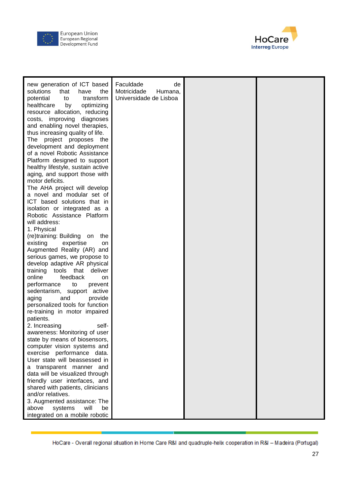



| new generation of ICT based<br>solutions<br>that<br>have<br>the<br>transform<br>potential<br>to<br>healthcare<br>by<br>optimizing<br>resource allocation, reducing<br>costs, improving diagnoses<br>and enabling novel therapies,<br>thus increasing quality of life.<br>The<br>project proposes<br>the<br>development and deployment<br>of a novel Robotic Assistance<br>Platform designed to support<br>healthy lifestyle, sustain active<br>aging, and support those with<br>motor deficits.<br>The AHA project will develop<br>a novel and modular set of<br>ICT based solutions that in | Faculdade<br>de<br>Motricidade<br>Humana,<br>Universidade de Lisboa |  |
|----------------------------------------------------------------------------------------------------------------------------------------------------------------------------------------------------------------------------------------------------------------------------------------------------------------------------------------------------------------------------------------------------------------------------------------------------------------------------------------------------------------------------------------------------------------------------------------------|---------------------------------------------------------------------|--|
|                                                                                                                                                                                                                                                                                                                                                                                                                                                                                                                                                                                              |                                                                     |  |
| isolation or integrated as a<br>Robotic Assistance Platform                                                                                                                                                                                                                                                                                                                                                                                                                                                                                                                                  |                                                                     |  |
| will address:<br>1. Physical                                                                                                                                                                                                                                                                                                                                                                                                                                                                                                                                                                 |                                                                     |  |
| (re)training: Building on<br>the<br>existing<br>expertise<br>on<br>Augmented Reality (AR) and                                                                                                                                                                                                                                                                                                                                                                                                                                                                                                |                                                                     |  |
| serious games, we propose to<br>develop adaptive AR physical<br>training tools that                                                                                                                                                                                                                                                                                                                                                                                                                                                                                                          |                                                                     |  |
| deliver<br>feedback<br>online<br>on                                                                                                                                                                                                                                                                                                                                                                                                                                                                                                                                                          |                                                                     |  |
| performance<br>to<br>prevent<br>sedentarism, support active<br>aging<br>provide<br>and                                                                                                                                                                                                                                                                                                                                                                                                                                                                                                       |                                                                     |  |
| personalized tools for function<br>re-training in motor impaired                                                                                                                                                                                                                                                                                                                                                                                                                                                                                                                             |                                                                     |  |
| patients.<br>2. Increasing<br>self-                                                                                                                                                                                                                                                                                                                                                                                                                                                                                                                                                          |                                                                     |  |
| awareness: Monitoring of user<br>state by means of biosensors,                                                                                                                                                                                                                                                                                                                                                                                                                                                                                                                               |                                                                     |  |
| computer vision systems and                                                                                                                                                                                                                                                                                                                                                                                                                                                                                                                                                                  |                                                                     |  |
| exercise performance data.<br>User state will beassessed in                                                                                                                                                                                                                                                                                                                                                                                                                                                                                                                                  |                                                                     |  |
| a transparent manner and<br>data will be visualized through                                                                                                                                                                                                                                                                                                                                                                                                                                                                                                                                  |                                                                     |  |
| friendly user interfaces, and                                                                                                                                                                                                                                                                                                                                                                                                                                                                                                                                                                |                                                                     |  |
| shared with patients, clinicians<br>and/or relatives.                                                                                                                                                                                                                                                                                                                                                                                                                                                                                                                                        |                                                                     |  |
| 3. Augmented assistance: The                                                                                                                                                                                                                                                                                                                                                                                                                                                                                                                                                                 |                                                                     |  |
| systems<br>will<br>above<br>be                                                                                                                                                                                                                                                                                                                                                                                                                                                                                                                                                               |                                                                     |  |
| integrated on a mobile robotic                                                                                                                                                                                                                                                                                                                                                                                                                                                                                                                                                               |                                                                     |  |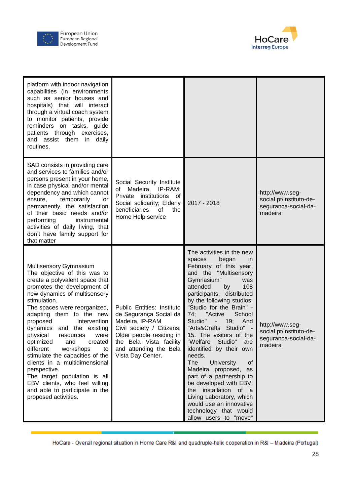



| platform with indoor navigation<br>capabilities (in environments<br>such as senior houses and<br>hospitals) that will interact<br>through a virtual coach system<br>to monitor patients, provide<br>reminders on tasks, guide<br>patients through exercises,<br>and assist them in daily<br>routines.                                                                                                                                                                                                                                                                                                          |                                                                                                                                                                                                            |                                                                                                                                                                                                                                                                                                                                                                                                                                                                                                                                                                                                                                                                                 |                                                                               |
|----------------------------------------------------------------------------------------------------------------------------------------------------------------------------------------------------------------------------------------------------------------------------------------------------------------------------------------------------------------------------------------------------------------------------------------------------------------------------------------------------------------------------------------------------------------------------------------------------------------|------------------------------------------------------------------------------------------------------------------------------------------------------------------------------------------------------------|---------------------------------------------------------------------------------------------------------------------------------------------------------------------------------------------------------------------------------------------------------------------------------------------------------------------------------------------------------------------------------------------------------------------------------------------------------------------------------------------------------------------------------------------------------------------------------------------------------------------------------------------------------------------------------|-------------------------------------------------------------------------------|
| SAD consists in providing care<br>and services to families and/or<br>persons present in your home,<br>in case physical and/or mental<br>dependency and which cannot<br>temporarily<br>ensure,<br>or<br>permanently, the satisfaction<br>of their basic needs and/or<br>performing<br>instrumental<br>activities of daily living, that<br>don't have family support for<br>that matter                                                                                                                                                                                                                          | Social Security Institute<br>Madeira, IP-RAM;<br>of<br>Private institutions of<br>Social solidarity; Elderly<br>beneficiaries<br>0f<br>the<br>Home Help service                                            | 2017 - 2018                                                                                                                                                                                                                                                                                                                                                                                                                                                                                                                                                                                                                                                                     | http://www.seg-<br>social.pt/instituto-de-<br>seguranca-social-da-<br>madeira |
| Multisensory Gymnasium<br>The objective of this was to<br>create a polyvalent space that<br>promotes the development of<br>new dynamics of multisensory<br>stimulation.<br>The spaces were reorganized,<br>adapting them to the new<br>proposed<br>intervention<br>dynamics<br>and the existing<br>physical<br>resources<br>were<br>optimized<br>and<br>created<br>different<br>workshops<br>to<br>stimulate the capacities of the<br>clients in a multidimensional<br>perspective.<br>The target population is all<br>EBV clients, who feel willing<br>and able to participate in the<br>proposed activities. | Public Entities: Instituto<br>de Segurança Social da<br>Madeira, IP-RAM<br>Civil society / Citizens:<br>Older people residing in<br>the Bela Vista facility<br>and attending the Bela<br>Vista Day Center. | The activities in the new<br>spaces<br>began<br>in.<br>February of this year,<br>and the<br>"Multisensory<br>Gymnasium"<br>was<br>attended<br>108<br>by<br>participants, distributed<br>by the following studios:<br>"Studio for the Brain" -<br>School<br>74;<br>"Active<br>Studio"<br>19;<br>And<br>"Arts&Crafts<br>Studio"<br>15. The visitors of the<br>"Welfare<br>Studio"<br>are<br>identified by their own<br>needs.<br>University<br>The<br>of<br>Madeira proposed,<br>as<br>part of a partnership to<br>be developed with EBV,<br>installation<br>of a<br>the<br>Living Laboratory, which<br>would use an innovative<br>technology that would<br>allow users to "move" | http://www.seg-<br>social.pt/instituto-de-<br>seguranca-social-da-<br>madeira |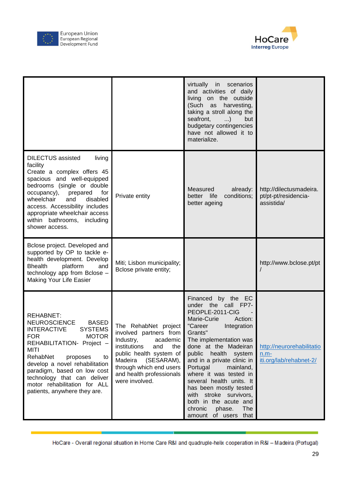



|                                                                                                                                                                                                                                                                                                                                                                         |                                                                                                                                                                                                                                    | virtually<br>scenarios<br>in<br>and activities of daily<br>living on the outside<br>(Such as<br>harvesting,<br>taking a stroll along the<br>seafront,<br>$\ldots$<br>but<br>budgetary contingencies<br>have not allowed it to<br>materialize.                                                                                                                                                                                                             |                                                                |
|-------------------------------------------------------------------------------------------------------------------------------------------------------------------------------------------------------------------------------------------------------------------------------------------------------------------------------------------------------------------------|------------------------------------------------------------------------------------------------------------------------------------------------------------------------------------------------------------------------------------|-----------------------------------------------------------------------------------------------------------------------------------------------------------------------------------------------------------------------------------------------------------------------------------------------------------------------------------------------------------------------------------------------------------------------------------------------------------|----------------------------------------------------------------|
| <b>DILECTUS</b> assisted<br>living<br>facility<br>Create a complex offers 45<br>spacious and well-equipped<br>bedrooms (single or double<br>occupancy),<br>prepared<br>for<br>wheelchair<br>and<br>disabled<br>access. Accessibility includes<br>appropriate wheelchair access<br>within bathrooms,<br>including<br>shower access.                                      | Private entity                                                                                                                                                                                                                     | Measured<br>already:<br>better life<br>conditions;<br>better ageing                                                                                                                                                                                                                                                                                                                                                                                       | http://dilectusmadeira.<br>pt/pt-pt/residencia-<br>assistida/  |
| Bclose project. Developed and<br>supported by OP to tackle e-<br>health development. Develop<br><b>Bhealth</b><br>platform<br>and<br>technology app from Bclose -<br>Making Your Life Easier                                                                                                                                                                            | Miti; Lisbon municipality;<br>Bclose private entity;                                                                                                                                                                               |                                                                                                                                                                                                                                                                                                                                                                                                                                                           | http://www.bclose.pt/pt                                        |
| <b>REHABNET:</b><br><b>NEUROSCIENCE</b><br><b>BASED</b><br><b>INTERACTIVE</b><br><b>SYSTEMS</b><br><b>FOR</b><br><b>MOTOR</b><br>REHABILITATION- Project -<br><b>MITI</b><br>RehabNet<br>proposes<br>to<br>develop a novel rehabilitation<br>paradigm, based on low cost<br>technology that can deliver<br>motor rehabilitation for ALL<br>patients, anywhere they are. | The RehabNet project<br>involved partners from<br>Industry,<br>academic<br>institutions<br>and<br>the<br>public health system of<br>Madeira<br>(SESARAM),<br>through which end users<br>and health professionals<br>were involved. | Financed by the EC<br>under the call FP7-<br>PEOPLE-2011-CIG<br>Marie-Curie<br>Action:<br>"Career<br>Integration<br>Grants"<br>The implementation was<br>done at the Madeiran<br>public<br>health<br>system<br>and in a private clinic in<br>Portugal<br>mainland,<br>where it was tested in<br>several health units. It<br>has been mostly tested<br>with stroke survivors,<br>both in the acute and<br>chronic<br>phase.<br>The<br>amount of users that | http://neurorehabilitatio<br>$n.m-$<br>iti.org/lab/rehabnet-2/ |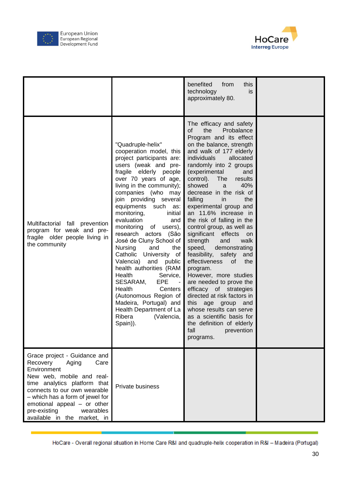



|                                                                                                                                                                                                                                                                                                     |                                                                                                                                                                                                                                                                                                                                                                                                                                                                                                                                                                                                                                                                                                                             | benefited<br>from<br>this<br>technology<br>is<br>approximately 80.                                                                                                                                                                                                                                                                                                                                                                                                                                                                                                                                                                                                                                                                                                                                                                                               |  |
|-----------------------------------------------------------------------------------------------------------------------------------------------------------------------------------------------------------------------------------------------------------------------------------------------------|-----------------------------------------------------------------------------------------------------------------------------------------------------------------------------------------------------------------------------------------------------------------------------------------------------------------------------------------------------------------------------------------------------------------------------------------------------------------------------------------------------------------------------------------------------------------------------------------------------------------------------------------------------------------------------------------------------------------------------|------------------------------------------------------------------------------------------------------------------------------------------------------------------------------------------------------------------------------------------------------------------------------------------------------------------------------------------------------------------------------------------------------------------------------------------------------------------------------------------------------------------------------------------------------------------------------------------------------------------------------------------------------------------------------------------------------------------------------------------------------------------------------------------------------------------------------------------------------------------|--|
| Multifactorial fall prevention<br>program for weak and pre-<br>fragile older people living in<br>the community                                                                                                                                                                                      | "Quadruple-helix"<br>cooperation model, this<br>project participants are:<br>users (weak and pre-<br>fragile elderly people<br>over 70 years of age,<br>living in the community);<br>companies (who may<br>join providing several<br>equipments such<br>as:<br>monitoring,<br>initial<br>evaluation<br>and<br>monitoring<br>of<br>users),<br>research actors (São<br>José de Cluny School of<br>and<br><b>Nursing</b><br>the<br>Catholic<br>University of<br>Valencia)<br>and public<br>health authorities (RAM<br>Health<br>Service,<br>SESARAM,<br><b>EPE</b><br>$\sim$ $-$<br>Health<br><b>Centers</b><br>(Autonomous Region of<br>Madeira, Portugal) and<br>Health Department of La<br>Ribera<br>(Valencia,<br>Spain)). | The efficacy and safety<br>the<br>Probalance<br>οf<br>Program and its effect<br>on the balance, strength<br>and walk of 177 elderly<br>individuals<br>allocated<br>randomly into 2 groups<br>(experimental<br>and<br>control).<br>The<br>results<br>showed<br>40%<br>a<br>decrease in the risk of<br>falling<br>in.<br>the<br>experimental group and<br>an 11.6% increase in<br>the risk of falling in the<br>control group, as well as<br>significant effects<br>on<br>walk<br>strength<br>and<br>demonstrating<br>speed,<br>feasibility, safety<br>and<br>effectiveness<br>0f<br>the<br>program.<br>However, more studies<br>are needed to prove the<br>efficacy of strategies<br>directed at risk factors in<br>this<br>age group and<br>whose results can serve<br>as a scientific basis for<br>the definition of elderly<br>fall<br>prevention<br>programs. |  |
| Grace project - Guidance and<br>Recovery<br>Care<br>Aging<br>Environment<br>New web, mobile and real-<br>time analytics platform that<br>connects to our own wearable<br>- which has a form of jewel for<br>emotional appeal - or other<br>wearables<br>pre-existing<br>available in the market, in | Private business                                                                                                                                                                                                                                                                                                                                                                                                                                                                                                                                                                                                                                                                                                            |                                                                                                                                                                                                                                                                                                                                                                                                                                                                                                                                                                                                                                                                                                                                                                                                                                                                  |  |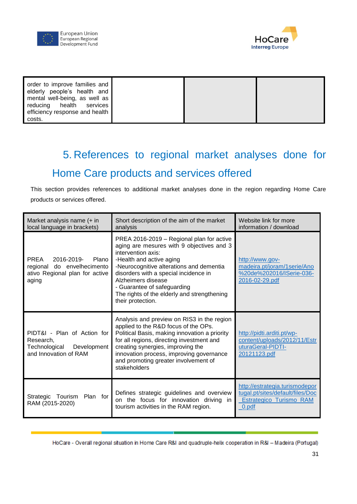



| order to improve families and<br>elderly people's health and |  |  |
|--------------------------------------------------------------|--|--|
| mental well-being, as well as<br>reducing health services    |  |  |
| efficiency response and health<br>costs.                     |  |  |

# <span id="page-30-0"></span>5. References to regional market analyses done for Home Care products and services offered

This section provides references to additional market analyses done in the region regarding Home Care products or services offered.

| Market analysis name (+ in<br>local language in brackets)                                         | Short description of the aim of the market<br>analysis                                                                                                                                                                                                                                                                                                 | Website link for more<br>information / download                                                               |
|---------------------------------------------------------------------------------------------------|--------------------------------------------------------------------------------------------------------------------------------------------------------------------------------------------------------------------------------------------------------------------------------------------------------------------------------------------------------|---------------------------------------------------------------------------------------------------------------|
| PREA<br>2016-2019- Plano<br>regional do envelhecimento<br>ativo Regional plan for active<br>aging | PREA 2016-2019 - Regional plan for active<br>aging are mesures with 9 objectives and 3<br>intervention axis:<br>-Health and active aging<br>-Neurocognitive alterations and dementia<br>disorders with a special incidence in<br>Alzheimers disease<br>- Guarantee of safeguarding<br>The rights of the elderly and strengthening<br>their protection. | http://www.gov-<br>madeira.pt/joram/1serie/Ano<br>%20de%202016/ISerie-036-<br>2016-02-29.pdf                  |
| PIDT&I - Plan of Action for<br>Research,<br>Development<br>Technological<br>and Innovation of RAM | Analysis and preview on RIS3 in the region<br>applied to the R&D focus of the OPs.<br>Political Basis, making innovation a priority<br>for all regions, directing investment and<br>creating synergies, improving the<br>innovation process, improving governance<br>and promoting greater involvement of<br>stakeholders                              | http://pidti.arditi.pt/wp-<br>content/uploads/2012/11/Estr<br>uturaGeral-PIDTI-<br>20121123.pdf               |
| Strategic Tourism<br>Plan for<br>RAM (2015-2020)                                                  | Defines strategic guidelines and overview<br>on the focus for innovation driving in<br>tourism activities in the RAM region.                                                                                                                                                                                                                           | http://estrategia.turismodepor<br>tugal.pt/sites/default/files/Doc<br><b>Estrategico_Turismo_RAM</b><br>0.pdf |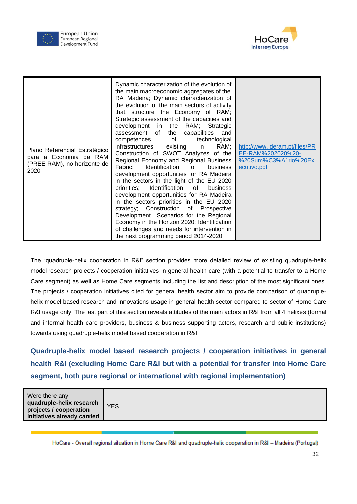



| Plano Referencial Estratégico<br>para a Economia da RAM<br>(PREE-RAM), no horizonte de<br>2020 | Dynamic characterization of the evolution of<br>the main macroeconomic aggregates of the<br>RA Madeira; Dynamic characterization of<br>the evolution of the main sectors of activity<br>that structure the Economy of RAM;<br>Strategic assessment of the capacities and<br>development in the RAM; Strategic<br>capabilities<br>assessment of<br>the<br>and<br>competences of<br>technological<br>infrastructures existing<br>in<br>RAM;<br>Construction of SWOT Analyzes of the<br>Regional Economy and Regional Business<br>Identification<br>Fabric:<br>of<br>business<br>development opportunities for RA Madeira<br>in the sectors in the light of the EU 2020<br>priorities; Identification of<br>business<br>development opportunities for RA Madeira<br>in the sectors priorities in the EU 2020<br>strategy; Construction of Prospective<br>Development Scenarios for the Regional<br>Economy in the Horizon 2020; Identification<br>of challenges and needs for intervention in<br>the next programming period 2014-2020 | http://www.ideram.pt/files/PR<br>EE-RAM%202020%20-<br>%20Sum%C3%A1rio%20Ex<br>ecutivo.pdf |
|------------------------------------------------------------------------------------------------|-------------------------------------------------------------------------------------------------------------------------------------------------------------------------------------------------------------------------------------------------------------------------------------------------------------------------------------------------------------------------------------------------------------------------------------------------------------------------------------------------------------------------------------------------------------------------------------------------------------------------------------------------------------------------------------------------------------------------------------------------------------------------------------------------------------------------------------------------------------------------------------------------------------------------------------------------------------------------------------------------------------------------------------|-------------------------------------------------------------------------------------------|
|------------------------------------------------------------------------------------------------|-------------------------------------------------------------------------------------------------------------------------------------------------------------------------------------------------------------------------------------------------------------------------------------------------------------------------------------------------------------------------------------------------------------------------------------------------------------------------------------------------------------------------------------------------------------------------------------------------------------------------------------------------------------------------------------------------------------------------------------------------------------------------------------------------------------------------------------------------------------------------------------------------------------------------------------------------------------------------------------------------------------------------------------|-------------------------------------------------------------------------------------------|

The "quadruple-helix cooperation in R&I" section provides more detailed review of existing quadruple-helix model research projects / cooperation initiatives in general health care (with a potential to transfer to a Home Care segment) as well as Home Care segments including the list and description of the most significant ones. The projects / cooperation initiatives cited for general health sector aim to provide comparison of quadruplehelix model based research and innovations usage in general health sector compared to sector of Home Care R&I usage only. The last part of this section reveals attitudes of the main actors in R&I from all 4 helixes (formal and informal health care providers, business & business supporting actors, research and public institutions) towards using quadruple-helix model based cooperation in R&I.

**Quadruple-helix model based research projects / cooperation initiatives in general health R&I (excluding Home Care R&I but with a potential for transfer into Home Care segment, both pure regional or international with regional implementation)**

| Were there any<br>quadruple-helix research<br>projects / cooperation<br>initiatives already carried | <b>YES</b> |
|-----------------------------------------------------------------------------------------------------|------------|
|                                                                                                     |            |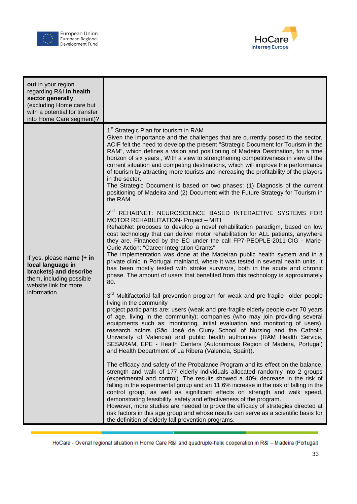



| out in your region<br>regarding R&I in health<br>sector generally<br>(excluding Home care but<br>with a potential for transfer<br>into Home Care segment)? |                                                                                                                                                                                                                                                                                                                                                                                                                                                                                                                                                                                                                                                                                                                                                                                            |
|------------------------------------------------------------------------------------------------------------------------------------------------------------|--------------------------------------------------------------------------------------------------------------------------------------------------------------------------------------------------------------------------------------------------------------------------------------------------------------------------------------------------------------------------------------------------------------------------------------------------------------------------------------------------------------------------------------------------------------------------------------------------------------------------------------------------------------------------------------------------------------------------------------------------------------------------------------------|
| If yes, please name (+ in<br>local language in<br>brackets) and describe<br>them, including possible<br>website link for more<br>information               | 1 <sup>st</sup> Strategic Plan for tourism in RAM<br>Given the importance and the challenges that are currently posed to the sector,<br>ACIF felt the need to develop the present "Strategic Document for Tourism in the<br>RAM", which defines a vision and positioning of Madeira Destination, for a time<br>horizon of six years, With a view to strengthening competitiveness in view of the<br>current situation and competing destinations, which will improve the performance<br>of tourism by attracting more tourists and increasing the profitability of the players<br>in the sector.<br>The Strategic Document is based on two phases: (1) Diagnosis of the current<br>positioning of Madeira and (2) Document with the Future Strategy for Tourism in<br>the RAM.<br>$2^{nd}$ |
|                                                                                                                                                            | REHABNET: NEUROSCIENCE BASED INTERACTIVE SYSTEMS FOR<br>MOTOR REHABILITATION- Project - MITI<br>RehabNet proposes to develop a novel rehabilitation paradigm, based on low<br>cost technology that can deliver motor rehabilitation for ALL patients, anywhere<br>they are. Financed by the EC under the call FP7-PEOPLE-2011-CIG - Marie-<br>Curie Action: "Career Integration Grants"<br>The implementation was done at the Madeiran public health system and in a<br>private clinic in Portugal mainland, where it was tested in several health units. It<br>has been mostly tested with stroke survivors, both in the acute and chronic<br>phase. The amount of users that benefited from this technology is approximately<br>80.                                                      |
|                                                                                                                                                            | 3 <sup>rd</sup> Multifactorial fall prevention program for weak and pre-fragile older people<br>living in the community<br>project participants are: users (weak and pre-fragile elderly people over 70 years<br>of age, living in the community); companies (who may join providing several<br>equipments such as: monitoring, initial evaluation and monitoring of users),<br>research actors (São José de Cluny School of Nursing and the Catholic<br>University of Valencia) and public health authorities (RAM Health Service,<br>SESARAM, EPE - Health Centers (Autonomous Region of Madeira, Portugal)<br>and Health Department of La Ribera (Valencia, Spain)).                                                                                                                    |
|                                                                                                                                                            | The efficacy and safety of the Probalance Program and its effect on the balance,<br>strength and walk of 177 elderly individuals allocated randomly into 2 groups<br>(experimental and control). The results showed a 40% decrease in the risk of<br>falling in the experimental group and an 11.6% increase in the risk of falling in the<br>control group, as well as significant effects on strength and walk speed,<br>demonstrating feasibility, safety and effectiveness of the program.<br>However, more studies are needed to prove the efficacy of strategies directed at<br>risk factors in this age group and whose results can serve as a scientific basis for<br>the definition of elderly fall prevention programs.                                                          |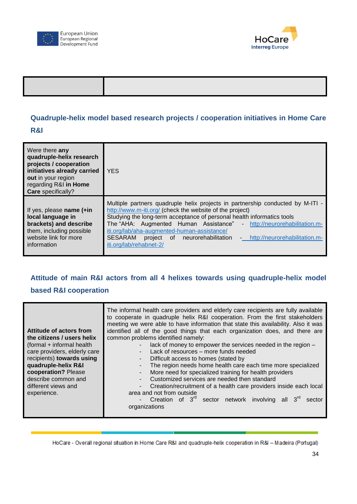



#### **Quadruple-helix model based research projects / cooperation initiatives in Home Care**

#### **R&I**

| Were there any<br>quadruple-helix research<br>projects / cooperation<br>initiatives already carried<br>out in your region<br>regarding R&I in Home<br><b>Care</b> specifically? | <b>YES</b>                                                                                                                                                                                                                                                                                                                                                                                                                                            |
|---------------------------------------------------------------------------------------------------------------------------------------------------------------------------------|-------------------------------------------------------------------------------------------------------------------------------------------------------------------------------------------------------------------------------------------------------------------------------------------------------------------------------------------------------------------------------------------------------------------------------------------------------|
| If yes, please name $(+in)$<br>local language in<br>brackets) and describe<br>them, including possible<br>website link for more<br>information                                  | Multiple partners quadruple helix projects in partnership conducted by M-ITI -<br>http://www.m-iti.org/ (check the website of the project)<br>Studying the long-term acceptance of personal health informatics tools<br>The "AHA: Augmented Human Assistance" - http://neurorehabilitation.m-<br>iti.org/lab/aha-augmented-human-assistance/<br>SESARAM<br>http://neurorehabilitation.m-<br>project of neurorehabilitation<br>iti.org/lab/rehabnet-2/ |

## **Attitude of main R&I actors from all 4 helixes towards using quadruple-helix model based R&I cooperation**

| Attitude of actors from<br>the citizens / users helix     | The informal health care providers and elderly care recipients are fully available<br>to cooperate in quadruple helix R&I cooperation. From the first stakeholders<br>meeting we were able to have information that state this availability. Also it was<br>identified all of the good things that each organization does, and there are<br>common problems identified namely: |
|-----------------------------------------------------------|--------------------------------------------------------------------------------------------------------------------------------------------------------------------------------------------------------------------------------------------------------------------------------------------------------------------------------------------------------------------------------|
| (formal + informal health<br>care providers, elderly care | lack of money to empower the services needed in the region -<br>Lack of resources – more funds needed                                                                                                                                                                                                                                                                          |
| recipients) towards using                                 | Difficult access to homes (stated by                                                                                                                                                                                                                                                                                                                                           |
| quadruple-helix R&I<br>cooperation? Please                | The region needs home health care each time more specialized<br>More need for specialized training for health providers                                                                                                                                                                                                                                                        |
| describe common and                                       | Customized services are needed then standard                                                                                                                                                                                                                                                                                                                                   |
| different views and<br>experience.                        | Creation/recruitment of a health care providers inside each local<br><b>Call</b><br>area and not from outside                                                                                                                                                                                                                                                                  |
|                                                           | - Creation of 3 <sup>rd</sup> sector network involving all<br>sector<br>organizations                                                                                                                                                                                                                                                                                          |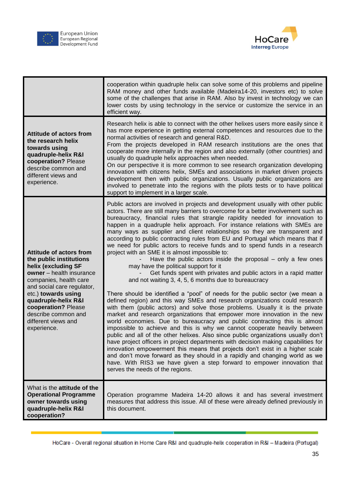



|                                                                                                                                                                                  | cooperation within quadruple helix can solve some of this problems and pipeline<br>RAM money and other funds available (Madeira14-20, investors etc) to solve<br>some of the challenges that arise in RAM. Also by invest in technology we can<br>lower costs by using technology in the service or customize the service in an<br>efficient way.                                                                                                                                                                                                                                                                                                                                                                                                                                                                                                                                                                                               |
|----------------------------------------------------------------------------------------------------------------------------------------------------------------------------------|-------------------------------------------------------------------------------------------------------------------------------------------------------------------------------------------------------------------------------------------------------------------------------------------------------------------------------------------------------------------------------------------------------------------------------------------------------------------------------------------------------------------------------------------------------------------------------------------------------------------------------------------------------------------------------------------------------------------------------------------------------------------------------------------------------------------------------------------------------------------------------------------------------------------------------------------------|
| <b>Attitude of actors from</b><br>the research helix<br>towards using<br>quadruple-helix R&I<br>cooperation? Please<br>describe common and<br>different views and<br>experience. | Research helix is able to connect with the other helixes users more easily since it<br>has more experience in getting external competences and resources due to the<br>normal activities of research and general R&D.<br>From the projects developed in RAM research institutions are the ones that<br>cooperate more internally in the region and also externally (other countries) and<br>usually do quadruple helix approaches when needed.<br>On our perspective it is more common to see research organization developing<br>innovation with citizens helix, SMEs and associations in market driven projects<br>development then with public organizations. Usually public organizations are<br>involved to penetrate into the regions with the pilots tests or to have political<br>support to implement in a larger scale.                                                                                                               |
| <b>Attitude of actors from</b><br>the public institutions<br>helix (excluding SF<br>owner - health insurance<br>companies, health care<br>and social care regulator,             | Public actors are involved in projects and development usually with other public<br>actors. There are still many barriers to overcome for a better involvement such as<br>bureaucracy, financial rules that strangle rapidity needed for innovation to<br>happen in a quadruple helix approach. For instance relations with SMEs are<br>many ways as supplier and client relationships so they are transparent and<br>according to public contracting rules from EU and Portugal which means that if<br>we need for public actors to receive funds and to spend funds in a research<br>project with an SME it is almost impossible to:<br>Have the public actors inside the proposal $-$ only a few ones<br>may have the political support for it<br>Get funds spent with privates and public actors in a rapid matter<br>and not waiting 3, 4, 5, 6 months due to bureaucracy                                                                  |
| etc.) towards using<br>quadruple-helix R&I<br>cooperation? Please<br>describe common and<br>different views and<br>experience.                                                   | There should be identified a "pool" of needs for the public sector (we mean a<br>defined region) and this way SMEs and research organizations could research<br>with them (public actors) and solve those problems. Usually it is the private<br>market and research organizations that empower more innovation in the new<br>world economies. Due to bureaucracy and public contracting this is almost<br>impossible to achieve and this is why we cannot cooperate heavily between<br>public and all of the other helixes. Also since public organizations usually don't<br>have project officers in project departments with decision making capabilities for<br>innovation empowerment this means that projects don't exist in a higher scale<br>and don't move forward as they should in a rapidly and changing world as we<br>have. With RIS3 we have given a step forward to empower innovation that<br>serves the needs of the regions. |
| What is the <b>attitude of the</b><br><b>Operational Programme</b><br>owner towards using<br>quadruple-helix R&I<br>cooperation?                                                 | Operation programme Madeira 14-20 allows it and has several investment<br>measures that address this issue. All of these were already defined previously in<br>this document.                                                                                                                                                                                                                                                                                                                                                                                                                                                                                                                                                                                                                                                                                                                                                                   |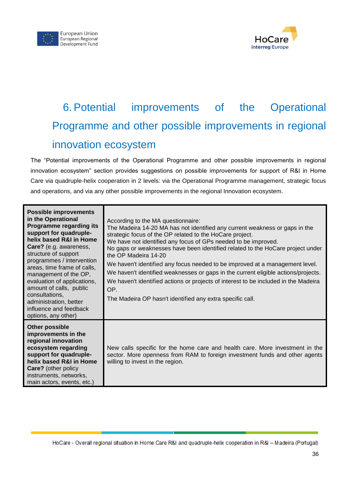



# <span id="page-35-0"></span>6. Potential improvements of the Operational Programme and other possible improvements in regional innovation ecosystem

The "Potential improvements of the Operational Programme and other possible improvements in regional innovation ecosystem" section provides suggestions on possible improvements for support of R&I in Home Care via quadruple-helix cooperation in 2 levels: via the Operational Programme management, strategic focus and operations, and via any other possible improvements in the regional Innovation ecosystem.

| <b>Possible improvements</b><br>in the Operational<br>Programme regarding its<br>support for quadruple-<br>helix based R&I in Home<br>Care? (e.g. awareness,<br>structure of support<br>programmes / intervention<br>areas, time frame of calls,<br>management of the OP,<br>evaluation of applications,<br>amount of calls, public<br>consultations,<br>administration, better<br>influence and feedback<br>options, any other) | According to the MA questionnaire:<br>The Madeira 14-20 MA has not identified any current weakness or gaps in the<br>strategic focus of the OP related to the HoCare project.<br>We have not identified any focus of GPs needed to be improved.<br>No gaps or weaknesses have been identified related to the HoCare project under<br>the OP Madeira 14-20<br>We haven't identified any focus needed to be improved at a management level.<br>We haven't identified weaknesses or gaps in the current eligible actions/projects.<br>We haven't identified actions or projects of interest to be included in the Madeira<br>OP.<br>The Madeira OP hasn't identified any extra specific call. |
|----------------------------------------------------------------------------------------------------------------------------------------------------------------------------------------------------------------------------------------------------------------------------------------------------------------------------------------------------------------------------------------------------------------------------------|--------------------------------------------------------------------------------------------------------------------------------------------------------------------------------------------------------------------------------------------------------------------------------------------------------------------------------------------------------------------------------------------------------------------------------------------------------------------------------------------------------------------------------------------------------------------------------------------------------------------------------------------------------------------------------------------|
| <b>Other possible</b><br>improvements in the<br>regional innovation<br>ecosystem regarding<br>support for quadruple-<br>helix based R&I in Home<br><b>Care?</b> (other policy<br>instruments, networks,<br>main actors, events, etc.)                                                                                                                                                                                            | New calls specific for the home care and health care. More investment in the<br>sector. More openness from RAM to foreign investment funds and other agents<br>willing to invest in the region.                                                                                                                                                                                                                                                                                                                                                                                                                                                                                            |